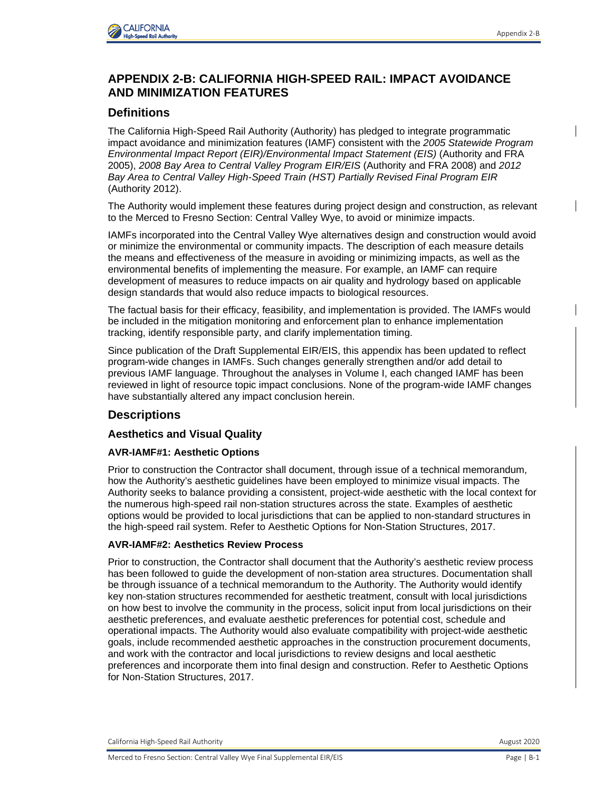

# **APPENDIX 2-B: CALIFORNIA HIGH-SPEED RAIL: IMPACT AVOIDANCE AND MINIMIZATION FEATURES**

# **Definitions**

The California High-Speed Rail Authority (Authority) has pledged to integrate programmatic impact avoidance and minimization features (IAMF) consistent with the *2005 Statewide Program Environmental Impact Report (EIR)/Environmental Impact Statement (EIS)* (Authority and FRA 2005), *2008 Bay Area to Central Valley Program EIR/EIS* (Authority and FRA 2008) and *2012 Bay Area to Central Valley High-Speed Train (HST) Partially Revised Final Program EIR* (Authority 2012).

The Authority would implement these features during project design and construction, as relevant to the Merced to Fresno Section: Central Valley Wye, to avoid or minimize impacts.

IAMFs incorporated into the Central Valley Wye alternatives design and construction would avoid or minimize the environmental or community impacts. The description of each measure details the means and effectiveness of the measure in avoiding or minimizing impacts, as well as the environmental benefits of implementing the measure. For example, an IAMF can require development of measures to reduce impacts on air quality and hydrology based on applicable design standards that would also reduce impacts to biological resources.

The factual basis for their efficacy, feasibility, and implementation is provided. The IAMFs would be included in the mitigation monitoring and enforcement plan to enhance implementation tracking, identify responsible party, and clarify implementation timing.

Since publication of the Draft Supplemental EIR/EIS, this appendix has been updated to reflect program-wide changes in IAMFs. Such changes generally strengthen and/or add detail to previous IAMF language. Throughout the analyses in Volume I, each changed IAMF has been reviewed in light of resource topic impact conclusions. None of the program-wide IAMF changes have substantially altered any impact conclusion herein.

# **Descriptions**

## **Aesthetics and Visual Quality**

## **AVR-IAMF#1: Aesthetic Options**

Prior to construction the Contractor shall document, through issue of a technical memorandum, how the Authority's aesthetic guidelines have been employed to minimize visual impacts. The Authority seeks to balance providing a consistent, project-wide aesthetic with the local context for the numerous high-speed rail non-station structures across the state. Examples of aesthetic options would be provided to local jurisdictions that can be applied to non-standard structures in the high-speed rail system. Refer to Aesthetic Options for Non-Station Structures, 2017.

## **AVR-IAMF#2: Aesthetics Review Process**

Prior to construction, the Contractor shall document that the Authority's aesthetic review process has been followed to guide the development of non-station area structures. Documentation shall be through issuance of a technical memorandum to the Authority. The Authority would identify key non-station structures recommended for aesthetic treatment, consult with local jurisdictions on how best to involve the community in the process, solicit input from local jurisdictions on their aesthetic preferences, and evaluate aesthetic preferences for potential cost, schedule and operational impacts. The Authority would also evaluate compatibility with project-wide aesthetic goals, include recommended aesthetic approaches in the construction procurement documents, and work with the contractor and local jurisdictions to review designs and local aesthetic preferences and incorporate them into final design and construction. Refer to Aesthetic Options for Non-Station Structures, 2017.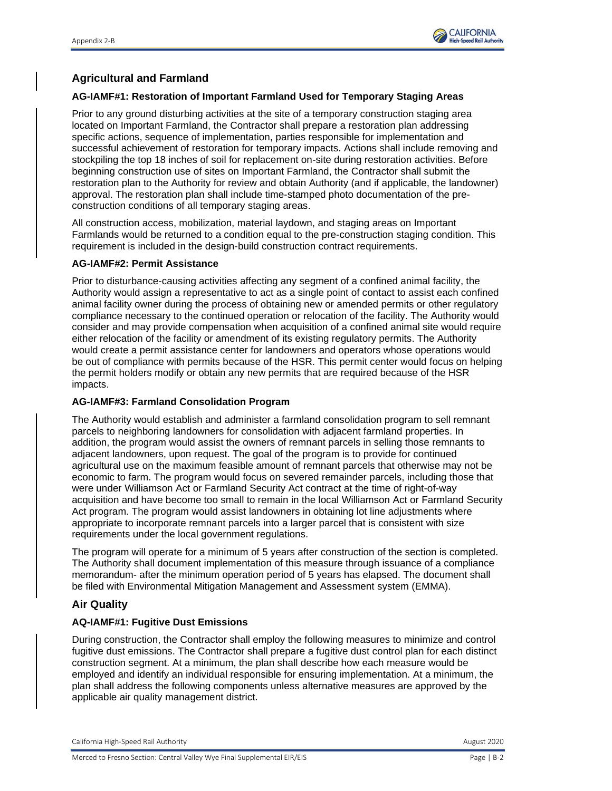

# **Agricultural and Farmland**

## **AG-IAMF#1: Restoration of Important Farmland Used for Temporary Staging Areas**

Prior to any ground disturbing activities at the site of a temporary construction staging area located on Important Farmland, the Contractor shall prepare a restoration plan addressing specific actions, sequence of implementation, parties responsible for implementation and successful achievement of restoration for temporary impacts. Actions shall include removing and stockpiling the top 18 inches of soil for replacement on-site during restoration activities. Before beginning construction use of sites on Important Farmland, the Contractor shall submit the restoration plan to the Authority for review and obtain Authority (and if applicable, the landowner) approval. The restoration plan shall include time-stamped photo documentation of the preconstruction conditions of all temporary staging areas.

All construction access, mobilization, material laydown, and staging areas on Important Farmlands would be returned to a condition equal to the pre-construction staging condition. This requirement is included in the design-build construction contract requirements.

#### **AG-IAMF#2: Permit Assistance**

Prior to disturbance-causing activities affecting any segment of a confined animal facility, the Authority would assign a representative to act as a single point of contact to assist each confined animal facility owner during the process of obtaining new or amended permits or other regulatory compliance necessary to the continued operation or relocation of the facility. The Authority would consider and may provide compensation when acquisition of a confined animal site would require either relocation of the facility or amendment of its existing regulatory permits. The Authority would create a permit assistance center for landowners and operators whose operations would be out of compliance with permits because of the HSR. This permit center would focus on helping the permit holders modify or obtain any new permits that are required because of the HSR impacts.

## **AG-IAMF#3: Farmland Consolidation Program**

The Authority would establish and administer a farmland consolidation program to sell remnant parcels to neighboring landowners for consolidation with adjacent farmland properties. In addition, the program would assist the owners of remnant parcels in selling those remnants to adjacent landowners, upon request. The goal of the program is to provide for continued agricultural use on the maximum feasible amount of remnant parcels that otherwise may not be economic to farm. The program would focus on severed remainder parcels, including those that were under Williamson Act or Farmland Security Act contract at the time of right-of-way acquisition and have become too small to remain in the local Williamson Act or Farmland Security Act program. The program would assist landowners in obtaining lot line adjustments where appropriate to incorporate remnant parcels into a larger parcel that is consistent with size requirements under the local government regulations.

The program will operate for a minimum of 5 years after construction of the section is completed. The Authority shall document implementation of this measure through issuance of a compliance memorandum- after the minimum operation period of 5 years has elapsed. The document shall be filed with Environmental Mitigation Management and Assessment system (EMMA).

## **Air Quality**

## **AQ-IAMF#1: Fugitive Dust Emissions**

During construction, the Contractor shall employ the following measures to minimize and control fugitive dust emissions. The Contractor shall prepare a fugitive dust control plan for each distinct construction segment. At a minimum, the plan shall describe how each measure would be employed and identify an individual responsible for ensuring implementation. At a minimum, the plan shall address the following components unless alternative measures are approved by the applicable air quality management district.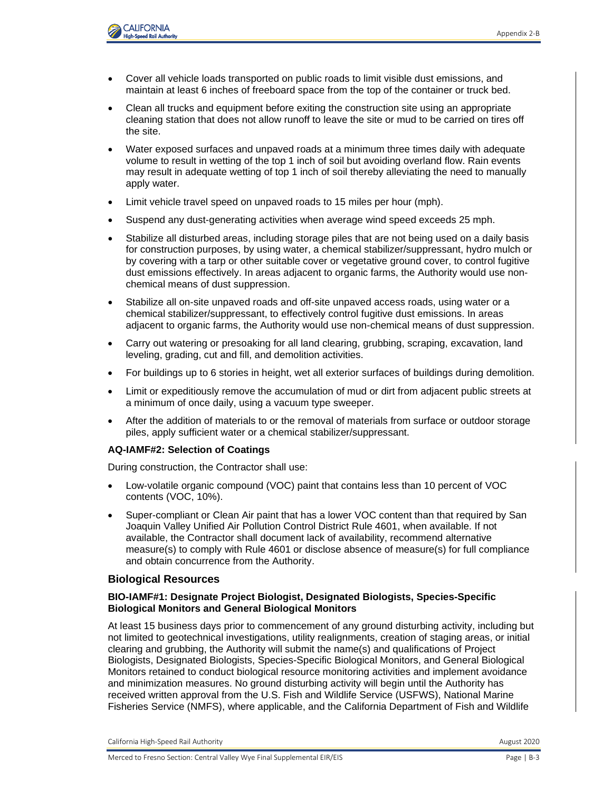

- Cover all vehicle loads transported on public roads to limit visible dust emissions, and maintain at least 6 inches of freeboard space from the top of the container or truck bed.
- Clean all trucks and equipment before exiting the construction site using an appropriate cleaning station that does not allow runoff to leave the site or mud to be carried on tires off the site.
- Water exposed surfaces and unpaved roads at a minimum three times daily with adequate volume to result in wetting of the top 1 inch of soil but avoiding overland flow. Rain events may result in adequate wetting of top 1 inch of soil thereby alleviating the need to manually apply water.
- Limit vehicle travel speed on unpaved roads to 15 miles per hour (mph).
- Suspend any dust-generating activities when average wind speed exceeds 25 mph.
- Stabilize all disturbed areas, including storage piles that are not being used on a daily basis for construction purposes, by using water, a chemical stabilizer/suppressant, hydro mulch or by covering with a tarp or other suitable cover or vegetative ground cover, to control fugitive dust emissions effectively. In areas adjacent to organic farms, the Authority would use nonchemical means of dust suppression.
- Stabilize all on-site unpaved roads and off-site unpaved access roads, using water or a chemical stabilizer/suppressant, to effectively control fugitive dust emissions. In areas adjacent to organic farms, the Authority would use non-chemical means of dust suppression.
- Carry out watering or presoaking for all land clearing, grubbing, scraping, excavation, land leveling, grading, cut and fill, and demolition activities.
- For buildings up to 6 stories in height, wet all exterior surfaces of buildings during demolition.
- Limit or expeditiously remove the accumulation of mud or dirt from adjacent public streets at a minimum of once daily, using a vacuum type sweeper.
- After the addition of materials to or the removal of materials from surface or outdoor storage piles, apply sufficient water or a chemical stabilizer/suppressant.

#### **AQ-IAMF#2: Selection of Coatings**

During construction, the Contractor shall use:

- Low-volatile organic compound (VOC) paint that contains less than 10 percent of VOC contents (VOC, 10%).
- Super-compliant or Clean Air paint that has a lower VOC content than that required by San Joaquin Valley Unified Air Pollution Control District Rule 4601, when available. If not available, the Contractor shall document lack of availability, recommend alternative measure(s) to comply with Rule 4601 or disclose absence of measure(s) for full compliance and obtain concurrence from the Authority.

## **Biological Resources**

#### **BIO-IAMF#1: Designate Project Biologist, Designated Biologists, Species-Specific Biological Monitors and General Biological Monitors**

At least 15 business days prior to commencement of any ground disturbing activity, including but not limited to geotechnical investigations, utility realignments, creation of staging areas, or initial clearing and grubbing, the Authority will submit the name(s) and qualifications of Project Biologists, Designated Biologists, Species-Specific Biological Monitors, and General Biological Monitors retained to conduct biological resource monitoring activities and implement avoidance and minimization measures. No ground disturbing activity will begin until the Authority has received written approval from the U.S. Fish and Wildlife Service (USFWS), National Marine Fisheries Service (NMFS), where applicable, and the California Department of Fish and Wildlife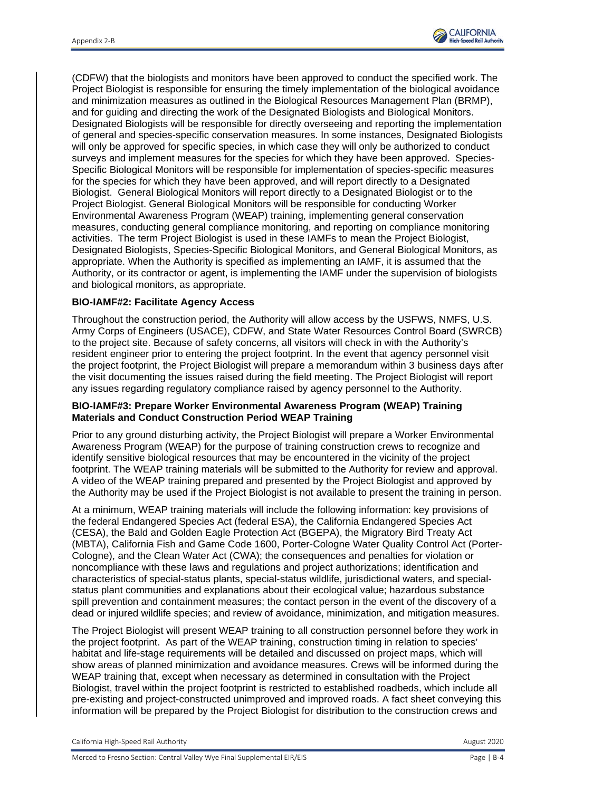

(CDFW) that the biologists and monitors have been approved to conduct the specified work. The Project Biologist is responsible for ensuring the timely implementation of the biological avoidance and minimization measures as outlined in the Biological Resources Management Plan (BRMP), and for guiding and directing the work of the Designated Biologists and Biological Monitors. Designated Biologists will be responsible for directly overseeing and reporting the implementation of general and species-specific conservation measures. In some instances, Designated Biologists will only be approved for specific species, in which case they will only be authorized to conduct surveys and implement measures for the species for which they have been approved. Species-Specific Biological Monitors will be responsible for implementation of species-specific measures for the species for which they have been approved, and will report directly to a Designated Biologist. General Biological Monitors will report directly to a Designated Biologist or to the Project Biologist. General Biological Monitors will be responsible for conducting Worker Environmental Awareness Program (WEAP) training, implementing general conservation measures, conducting general compliance monitoring, and reporting on compliance monitoring activities. The term Project Biologist is used in these IAMFs to mean the Project Biologist, Designated Biologists, Species-Specific Biological Monitors, and General Biological Monitors, as appropriate. When the Authority is specified as implementing an IAMF, it is assumed that the Authority, or its contractor or agent, is implementing the IAMF under the supervision of biologists and biological monitors, as appropriate.

## **BIO-IAMF#2: Facilitate Agency Access**

Throughout the construction period, the Authority will allow access by the USFWS, NMFS, U.S. Army Corps of Engineers (USACE), CDFW, and State Water Resources Control Board (SWRCB) to the project site. Because of safety concerns, all visitors will check in with the Authority's resident engineer prior to entering the project footprint. In the event that agency personnel visit the project footprint, the Project Biologist will prepare a memorandum within 3 business days after the visit documenting the issues raised during the field meeting. The Project Biologist will report any issues regarding regulatory compliance raised by agency personnel to the Authority.

#### **BIO-IAMF#3: Prepare Worker Environmental Awareness Program (WEAP) Training Materials and Conduct Construction Period WEAP Training**

Prior to any ground disturbing activity, the Project Biologist will prepare a Worker Environmental Awareness Program (WEAP) for the purpose of training construction crews to recognize and identify sensitive biological resources that may be encountered in the vicinity of the project footprint. The WEAP training materials will be submitted to the Authority for review and approval. A video of the WEAP training prepared and presented by the Project Biologist and approved by the Authority may be used if the Project Biologist is not available to present the training in person.

At a minimum, WEAP training materials will include the following information: key provisions of the federal Endangered Species Act (federal ESA), the California Endangered Species Act (CESA), the Bald and Golden Eagle Protection Act (BGEPA), the Migratory Bird Treaty Act (MBTA), California Fish and Game Code 1600, Porter-Cologne Water Quality Control Act (Porter-Cologne), and the Clean Water Act (CWA); the consequences and penalties for violation or noncompliance with these laws and regulations and project authorizations; identification and characteristics of special-status plants, special-status wildlife, jurisdictional waters, and specialstatus plant communities and explanations about their ecological value; hazardous substance spill prevention and containment measures; the contact person in the event of the discovery of a dead or injured wildlife species; and review of avoidance, minimization, and mitigation measures.

The Project Biologist will present WEAP training to all construction personnel before they work in the project footprint. As part of the WEAP training, construction timing in relation to species' habitat and life-stage requirements will be detailed and discussed on project maps, which will show areas of planned minimization and avoidance measures. Crews will be informed during the WEAP training that, except when necessary as determined in consultation with the Project Biologist, travel within the project footprint is restricted to established roadbeds, which include all pre-existing and project-constructed unimproved and improved roads. A fact sheet conveying this information will be prepared by the Project Biologist for distribution to the construction crews and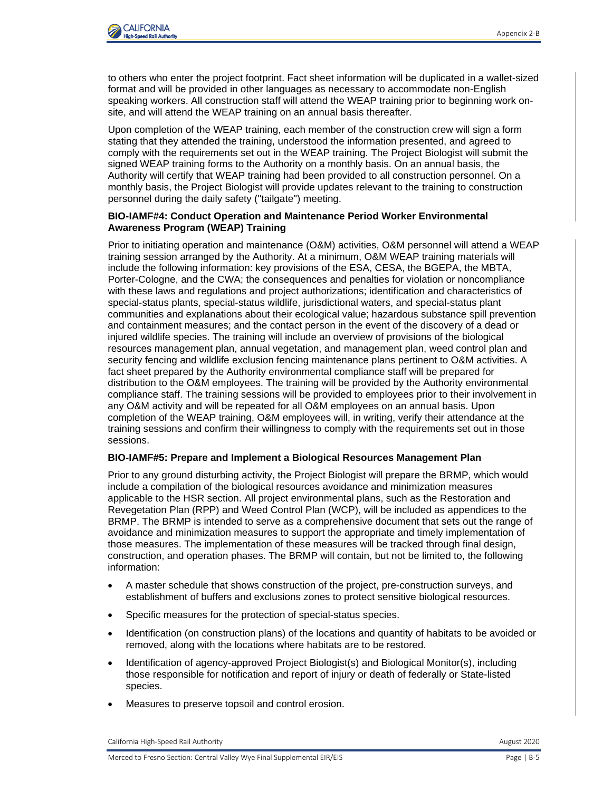

to others who enter the project footprint. Fact sheet information will be duplicated in a wallet-sized format and will be provided in other languages as necessary to accommodate non-English speaking workers. All construction staff will attend the WEAP training prior to beginning work onsite, and will attend the WEAP training on an annual basis thereafter.

Upon completion of the WEAP training, each member of the construction crew will sign a form stating that they attended the training, understood the information presented, and agreed to comply with the requirements set out in the WEAP training. The Project Biologist will submit the signed WEAP training forms to the Authority on a monthly basis. On an annual basis, the Authority will certify that WEAP training had been provided to all construction personnel. On a monthly basis, the Project Biologist will provide updates relevant to the training to construction personnel during the daily safety ("tailgate") meeting.

#### **BIO-IAMF#4: Conduct Operation and Maintenance Period Worker Environmental Awareness Program (WEAP) Training**

Prior to initiating operation and maintenance (O&M) activities, O&M personnel will attend a WEAP training session arranged by the Authority. At a minimum, O&M WEAP training materials will include the following information: key provisions of the ESA, CESA, the BGEPA, the MBTA, Porter-Cologne, and the CWA; the consequences and penalties for violation or noncompliance with these laws and regulations and project authorizations; identification and characteristics of special-status plants, special-status wildlife, jurisdictional waters, and special-status plant communities and explanations about their ecological value; hazardous substance spill prevention and containment measures; and the contact person in the event of the discovery of a dead or injured wildlife species. The training will include an overview of provisions of the biological resources management plan, annual vegetation, and management plan, weed control plan and security fencing and wildlife exclusion fencing maintenance plans pertinent to O&M activities. A fact sheet prepared by the Authority environmental compliance staff will be prepared for distribution to the O&M employees. The training will be provided by the Authority environmental compliance staff. The training sessions will be provided to employees prior to their involvement in any O&M activity and will be repeated for all O&M employees on an annual basis. Upon completion of the WEAP training, O&M employees will, in writing, verify their attendance at the training sessions and confirm their willingness to comply with the requirements set out in those sessions.

## **BIO-IAMF#5: Prepare and Implement a Biological Resources Management Plan**

Prior to any ground disturbing activity, the Project Biologist will prepare the BRMP, which would include a compilation of the biological resources avoidance and minimization measures applicable to the HSR section. All project environmental plans, such as the Restoration and Revegetation Plan (RPP) and Weed Control Plan (WCP), will be included as appendices to the BRMP. The BRMP is intended to serve as a comprehensive document that sets out the range of avoidance and minimization measures to support the appropriate and timely implementation of those measures. The implementation of these measures will be tracked through final design, construction, and operation phases. The BRMP will contain, but not be limited to, the following information:

- A master schedule that shows construction of the project, pre-construction surveys, and establishment of buffers and exclusions zones to protect sensitive biological resources.
- Specific measures for the protection of special-status species.
- Identification (on construction plans) of the locations and quantity of habitats to be avoided or removed, along with the locations where habitats are to be restored.
- Identification of agency-approved Project Biologist(s) and Biological Monitor(s), including those responsible for notification and report of injury or death of federally or State-listed species.
- Measures to preserve topsoil and control erosion.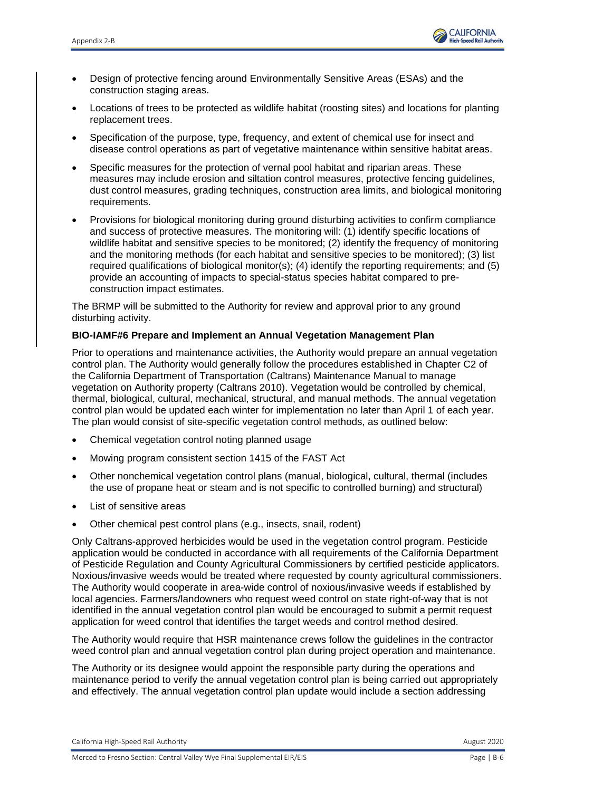

- Design of protective fencing around Environmentally Sensitive Areas (ESAs) and the construction staging areas.
- Locations of trees to be protected as wildlife habitat (roosting sites) and locations for planting replacement trees.
- Specification of the purpose, type, frequency, and extent of chemical use for insect and disease control operations as part of vegetative maintenance within sensitive habitat areas.
- Specific measures for the protection of vernal pool habitat and riparian areas. These measures may include erosion and siltation control measures, protective fencing guidelines, dust control measures, grading techniques, construction area limits, and biological monitoring requirements.
- Provisions for biological monitoring during ground disturbing activities to confirm compliance and success of protective measures. The monitoring will: (1) identify specific locations of wildlife habitat and sensitive species to be monitored; (2) identify the frequency of monitoring and the monitoring methods (for each habitat and sensitive species to be monitored); (3) list required qualifications of biological monitor(s); (4) identify the reporting requirements; and (5) provide an accounting of impacts to special-status species habitat compared to preconstruction impact estimates.

The BRMP will be submitted to the Authority for review and approval prior to any ground disturbing activity.

## **BIO-IAMF#6 Prepare and Implement an Annual Vegetation Management Plan**

Prior to operations and maintenance activities, the Authority would prepare an annual vegetation control plan. The Authority would generally follow the procedures established in Chapter C2 of the California Department of Transportation (Caltrans) Maintenance Manual to manage vegetation on Authority property (Caltrans 2010). Vegetation would be controlled by chemical, thermal, biological, cultural, mechanical, structural, and manual methods. The annual vegetation control plan would be updated each winter for implementation no later than April 1 of each year. The plan would consist of site-specific vegetation control methods, as outlined below:

- Chemical vegetation control noting planned usage
- Mowing program consistent section 1415 of the FAST Act
- Other nonchemical vegetation control plans (manual, biological, cultural, thermal (includes the use of propane heat or steam and is not specific to controlled burning) and structural)
- List of sensitive areas
- Other chemical pest control plans (e.g., insects, snail, rodent)

Only Caltrans-approved herbicides would be used in the vegetation control program. Pesticide application would be conducted in accordance with all requirements of the California Department of Pesticide Regulation and County Agricultural Commissioners by certified pesticide applicators. Noxious/invasive weeds would be treated where requested by county agricultural commissioners. The Authority would cooperate in area-wide control of noxious/invasive weeds if established by local agencies. Farmers/landowners who request weed control on state right-of-way that is not identified in the annual vegetation control plan would be encouraged to submit a permit request application for weed control that identifies the target weeds and control method desired.

The Authority would require that HSR maintenance crews follow the guidelines in the contractor weed control plan and annual vegetation control plan during project operation and maintenance.

The Authority or its designee would appoint the responsible party during the operations and maintenance period to verify the annual vegetation control plan is being carried out appropriately and effectively. The annual vegetation control plan update would include a section addressing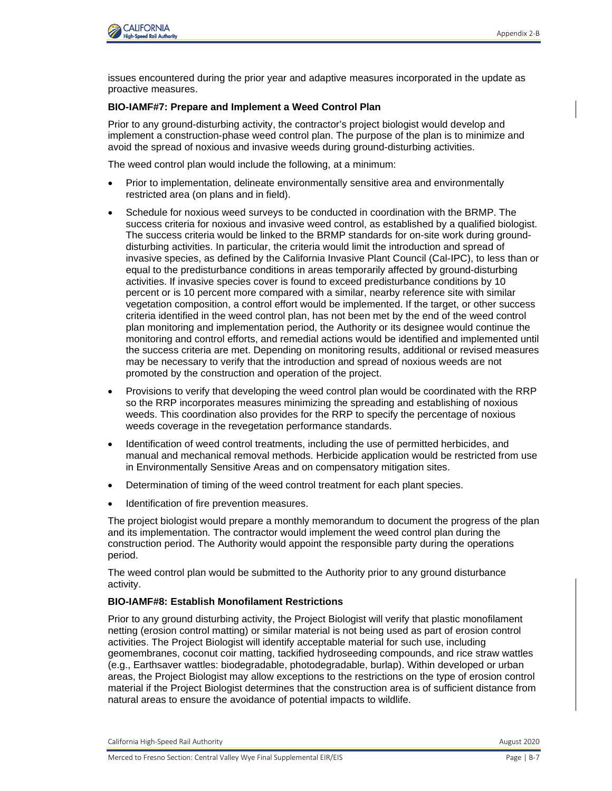

issues encountered during the prior year and adaptive measures incorporated in the update as proactive measures.

#### **BIO-IAMF#7: Prepare and Implement a Weed Control Plan**

Prior to any ground-disturbing activity, the contractor's project biologist would develop and implement a construction-phase weed control plan. The purpose of the plan is to minimize and avoid the spread of noxious and invasive weeds during ground-disturbing activities.

The weed control plan would include the following, at a minimum:

- Prior to implementation, delineate environmentally sensitive area and environmentally restricted area (on plans and in field).
- Schedule for noxious weed surveys to be conducted in coordination with the BRMP. The success criteria for noxious and invasive weed control, as established by a qualified biologist. The success criteria would be linked to the BRMP standards for on-site work during grounddisturbing activities. In particular, the criteria would limit the introduction and spread of invasive species, as defined by the California Invasive Plant Council (Cal-IPC), to less than or equal to the predisturbance conditions in areas temporarily affected by ground-disturbing activities. If invasive species cover is found to exceed predisturbance conditions by 10 percent or is 10 percent more compared with a similar, nearby reference site with similar vegetation composition, a control effort would be implemented. If the target, or other success criteria identified in the weed control plan, has not been met by the end of the weed control plan monitoring and implementation period, the Authority or its designee would continue the monitoring and control efforts, and remedial actions would be identified and implemented until the success criteria are met. Depending on monitoring results, additional or revised measures may be necessary to verify that the introduction and spread of noxious weeds are not promoted by the construction and operation of the project.
- Provisions to verify that developing the weed control plan would be coordinated with the RRP so the RRP incorporates measures minimizing the spreading and establishing of noxious weeds. This coordination also provides for the RRP to specify the percentage of noxious weeds coverage in the revegetation performance standards.
- Identification of weed control treatments, including the use of permitted herbicides, and manual and mechanical removal methods. Herbicide application would be restricted from use in Environmentally Sensitive Areas and on compensatory mitigation sites.
- Determination of timing of the weed control treatment for each plant species.
- Identification of fire prevention measures.

The project biologist would prepare a monthly memorandum to document the progress of the plan and its implementation. The contractor would implement the weed control plan during the construction period. The Authority would appoint the responsible party during the operations period.

The weed control plan would be submitted to the Authority prior to any ground disturbance activity.

#### **BIO-IAMF#8: Establish Monofilament Restrictions**

Prior to any ground disturbing activity, the Project Biologist will verify that plastic monofilament netting (erosion control matting) or similar material is not being used as part of erosion control activities. The Project Biologist will identify acceptable material for such use, including geomembranes, coconut coir matting, tackified hydroseeding compounds, and rice straw wattles (e.g., Earthsaver wattles: biodegradable, photodegradable, burlap). Within developed or urban areas, the Project Biologist may allow exceptions to the restrictions on the type of erosion control material if the Project Biologist determines that the construction area is of sufficient distance from natural areas to ensure the avoidance of potential impacts to wildlife.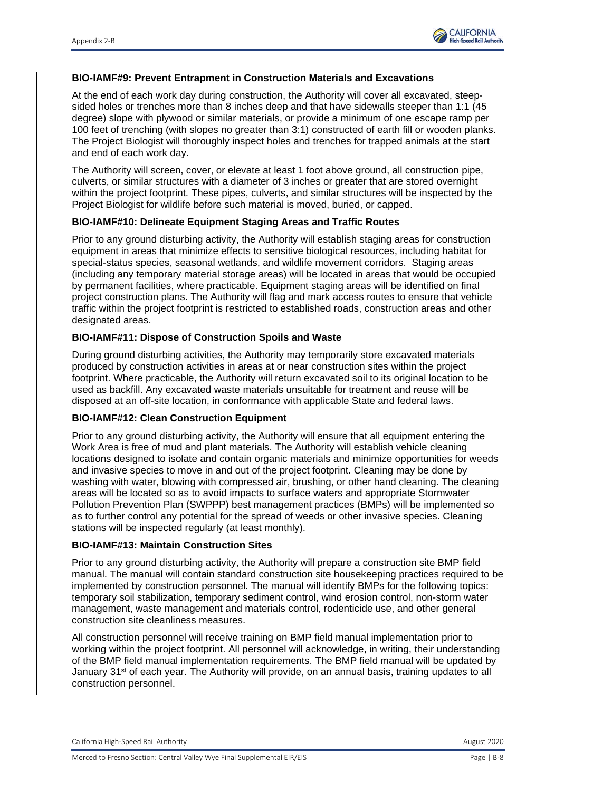## **BIO-IAMF#9: Prevent Entrapment in Construction Materials and Excavations**

At the end of each work day during construction, the Authority will cover all excavated, steepsided holes or trenches more than 8 inches deep and that have sidewalls steeper than 1:1 (45 degree) slope with plywood or similar materials, or provide a minimum of one escape ramp per 100 feet of trenching (with slopes no greater than 3:1) constructed of earth fill or wooden planks. The Project Biologist will thoroughly inspect holes and trenches for trapped animals at the start and end of each work day.

The Authority will screen, cover, or elevate at least 1 foot above ground, all construction pipe, culverts, or similar structures with a diameter of 3 inches or greater that are stored overnight within the project footprint. These pipes, culverts, and similar structures will be inspected by the Project Biologist for wildlife before such material is moved, buried, or capped.

## **BIO-IAMF#10: Delineate Equipment Staging Areas and Traffic Routes**

Prior to any ground disturbing activity, the Authority will establish staging areas for construction equipment in areas that minimize effects to sensitive biological resources, including habitat for special-status species, seasonal wetlands, and wildlife movement corridors. Staging areas (including any temporary material storage areas) will be located in areas that would be occupied by permanent facilities, where practicable. Equipment staging areas will be identified on final project construction plans. The Authority will flag and mark access routes to ensure that vehicle traffic within the project footprint is restricted to established roads, construction areas and other designated areas.

## **BIO-IAMF#11: Dispose of Construction Spoils and Waste**

During ground disturbing activities, the Authority may temporarily store excavated materials produced by construction activities in areas at or near construction sites within the project footprint. Where practicable, the Authority will return excavated soil to its original location to be used as backfill. Any excavated waste materials unsuitable for treatment and reuse will be disposed at an off-site location, in conformance with applicable State and federal laws.

## **BIO-IAMF#12: Clean Construction Equipment**

Prior to any ground disturbing activity, the Authority will ensure that all equipment entering the Work Area is free of mud and plant materials. The Authority will establish vehicle cleaning locations designed to isolate and contain organic materials and minimize opportunities for weeds and invasive species to move in and out of the project footprint. Cleaning may be done by washing with water, blowing with compressed air, brushing, or other hand cleaning. The cleaning areas will be located so as to avoid impacts to surface waters and appropriate Stormwater Pollution Prevention Plan (SWPPP) best management practices (BMPs) will be implemented so as to further control any potential for the spread of weeds or other invasive species. Cleaning stations will be inspected regularly (at least monthly).

## **BIO-IAMF#13: Maintain Construction Sites**

Prior to any ground disturbing activity, the Authority will prepare a construction site BMP field manual. The manual will contain standard construction site housekeeping practices required to be implemented by construction personnel. The manual will identify BMPs for the following topics: temporary soil stabilization, temporary sediment control, wind erosion control, non-storm water management, waste management and materials control, rodenticide use, and other general construction site cleanliness measures.

All construction personnel will receive training on BMP field manual implementation prior to working within the project footprint. All personnel will acknowledge, in writing, their understanding of the BMP field manual implementation requirements. The BMP field manual will be updated by January 31st of each year. The Authority will provide, on an annual basis, training updates to all construction personnel.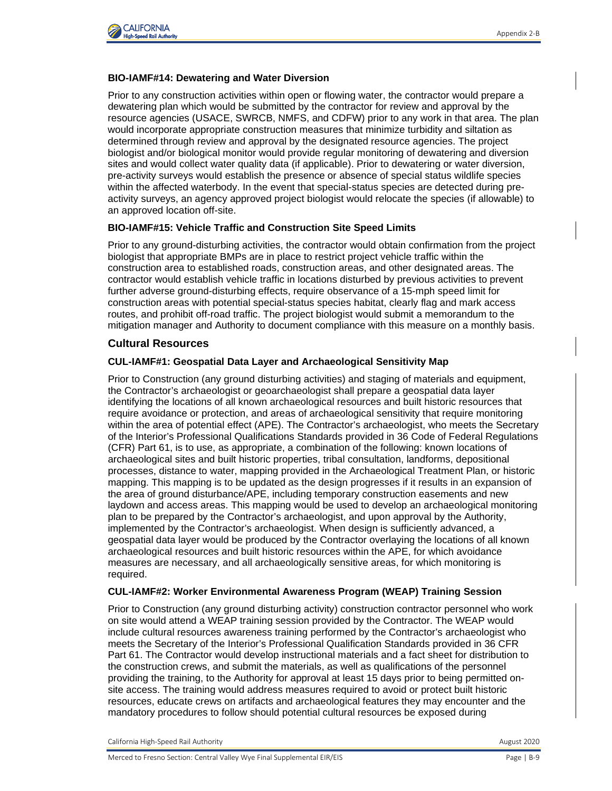

## **BIO-IAMF#14: Dewatering and Water Diversion**

Prior to any construction activities within open or flowing water, the contractor would prepare a dewatering plan which would be submitted by the contractor for review and approval by the resource agencies (USACE, SWRCB, NMFS, and CDFW) prior to any work in that area. The plan would incorporate appropriate construction measures that minimize turbidity and siltation as determined through review and approval by the designated resource agencies. The project biologist and/or biological monitor would provide regular monitoring of dewatering and diversion sites and would collect water quality data (if applicable). Prior to dewatering or water diversion, pre-activity surveys would establish the presence or absence of special status wildlife species within the affected waterbody. In the event that special-status species are detected during preactivity surveys, an agency approved project biologist would relocate the species (if allowable) to an approved location off-site.

## **BIO-IAMF#15: Vehicle Traffic and Construction Site Speed Limits**

Prior to any ground-disturbing activities, the contractor would obtain confirmation from the project biologist that appropriate BMPs are in place to restrict project vehicle traffic within the construction area to established roads, construction areas, and other designated areas. The contractor would establish vehicle traffic in locations disturbed by previous activities to prevent further adverse ground-disturbing effects, require observance of a 15-mph speed limit for construction areas with potential special-status species habitat, clearly flag and mark access routes, and prohibit off-road traffic. The project biologist would submit a memorandum to the mitigation manager and Authority to document compliance with this measure on a monthly basis.

## **Cultural Resources**

## **CUL-IAMF#1: Geospatial Data Layer and Archaeological Sensitivity Map**

Prior to Construction (any ground disturbing activities) and staging of materials and equipment, the Contractor's archaeologist or geoarchaeologist shall prepare a geospatial data layer identifying the locations of all known archaeological resources and built historic resources that require avoidance or protection, and areas of archaeological sensitivity that require monitoring within the area of potential effect (APE). The Contractor's archaeologist, who meets the Secretary of the Interior's Professional Qualifications Standards provided in 36 Code of Federal Regulations (CFR) Part 61, is to use, as appropriate, a combination of the following: known locations of archaeological sites and built historic properties, tribal consultation, landforms, depositional processes, distance to water, mapping provided in the Archaeological Treatment Plan, or historic mapping. This mapping is to be updated as the design progresses if it results in an expansion of the area of ground disturbance/APE, including temporary construction easements and new laydown and access areas. This mapping would be used to develop an archaeological monitoring plan to be prepared by the Contractor's archaeologist, and upon approval by the Authority, implemented by the Contractor's archaeologist. When design is sufficiently advanced, a geospatial data layer would be produced by the Contractor overlaying the locations of all known archaeological resources and built historic resources within the APE, for which avoidance measures are necessary, and all archaeologically sensitive areas, for which monitoring is required.

## **CUL-IAMF#2: Worker Environmental Awareness Program (WEAP) Training Session**

Prior to Construction (any ground disturbing activity) construction contractor personnel who work on site would attend a WEAP training session provided by the Contractor. The WEAP would include cultural resources awareness training performed by the Contractor's archaeologist who meets the Secretary of the Interior's Professional Qualification Standards provided in 36 CFR Part 61. The Contractor would develop instructional materials and a fact sheet for distribution to the construction crews, and submit the materials, as well as qualifications of the personnel providing the training, to the Authority for approval at least 15 days prior to being permitted onsite access. The training would address measures required to avoid or protect built historic resources, educate crews on artifacts and archaeological features they may encounter and the mandatory procedures to follow should potential cultural resources be exposed during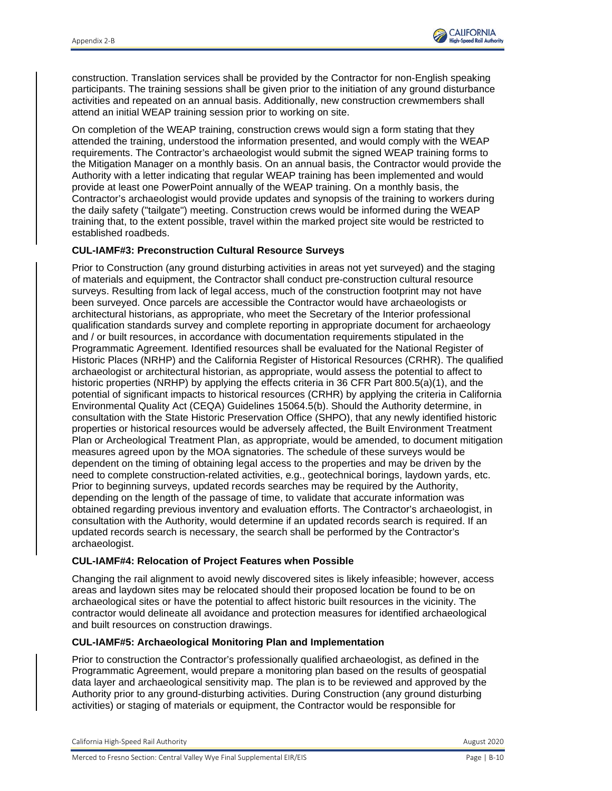

construction. Translation services shall be provided by the Contractor for non-English speaking participants. The training sessions shall be given prior to the initiation of any ground disturbance activities and repeated on an annual basis. Additionally, new construction crewmembers shall attend an initial WEAP training session prior to working on site.

On completion of the WEAP training, construction crews would sign a form stating that they attended the training, understood the information presented, and would comply with the WEAP requirements. The Contractor's archaeologist would submit the signed WEAP training forms to the Mitigation Manager on a monthly basis. On an annual basis, the Contractor would provide the Authority with a letter indicating that regular WEAP training has been implemented and would provide at least one PowerPoint annually of the WEAP training. On a monthly basis, the Contractor's archaeologist would provide updates and synopsis of the training to workers during the daily safety ("tailgate") meeting. Construction crews would be informed during the WEAP training that, to the extent possible, travel within the marked project site would be restricted to established roadbeds.

## **CUL-IAMF#3: Preconstruction Cultural Resource Surveys**

Prior to Construction (any ground disturbing activities in areas not yet surveyed) and the staging of materials and equipment, the Contractor shall conduct pre-construction cultural resource surveys. Resulting from lack of legal access, much of the construction footprint may not have been surveyed. Once parcels are accessible the Contractor would have archaeologists or architectural historians, as appropriate, who meet the Secretary of the Interior professional qualification standards survey and complete reporting in appropriate document for archaeology and / or built resources, in accordance with documentation requirements stipulated in the Programmatic Agreement. Identified resources shall be evaluated for the National Register of Historic Places (NRHP) and the California Register of Historical Resources (CRHR). The qualified archaeologist or architectural historian, as appropriate, would assess the potential to affect to historic properties (NRHP) by applying the effects criteria in 36 CFR Part 800.5(a)(1), and the potential of significant impacts to historical resources (CRHR) by applying the criteria in California Environmental Quality Act (CEQA) Guidelines 15064.5(b). Should the Authority determine, in consultation with the State Historic Preservation Office (SHPO), that any newly identified historic properties or historical resources would be adversely affected, the Built Environment Treatment Plan or Archeological Treatment Plan, as appropriate, would be amended, to document mitigation measures agreed upon by the MOA signatories. The schedule of these surveys would be dependent on the timing of obtaining legal access to the properties and may be driven by the need to complete construction-related activities, e.g., geotechnical borings, laydown yards, etc. Prior to beginning surveys, updated records searches may be required by the Authority, depending on the length of the passage of time, to validate that accurate information was obtained regarding previous inventory and evaluation efforts. The Contractor's archaeologist, in consultation with the Authority, would determine if an updated records search is required. If an updated records search is necessary, the search shall be performed by the Contractor's archaeologist.

## **CUL-IAMF#4: Relocation of Project Features when Possible**

Changing the rail alignment to avoid newly discovered sites is likely infeasible; however, access areas and laydown sites may be relocated should their proposed location be found to be on archaeological sites or have the potential to affect historic built resources in the vicinity. The contractor would delineate all avoidance and protection measures for identified archaeological and built resources on construction drawings.

## **CUL-IAMF#5: Archaeological Monitoring Plan and Implementation**

Prior to construction the Contractor's professionally qualified archaeologist, as defined in the Programmatic Agreement, would prepare a monitoring plan based on the results of geospatial data layer and archaeological sensitivity map. The plan is to be reviewed and approved by the Authority prior to any ground-disturbing activities. During Construction (any ground disturbing activities) or staging of materials or equipment, the Contractor would be responsible for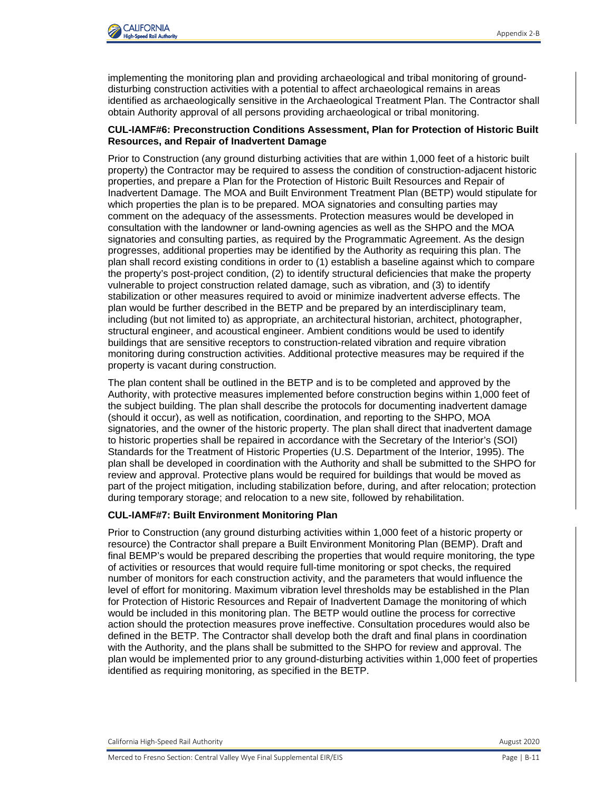

implementing the monitoring plan and providing archaeological and tribal monitoring of grounddisturbing construction activities with a potential to affect archaeological remains in areas identified as archaeologically sensitive in the Archaeological Treatment Plan. The Contractor shall obtain Authority approval of all persons providing archaeological or tribal monitoring.

## **CUL-IAMF#6: Preconstruction Conditions Assessment, Plan for Protection of Historic Built Resources, and Repair of Inadvertent Damage**

Prior to Construction (any ground disturbing activities that are within 1,000 feet of a historic built property) the Contractor may be required to assess the condition of construction-adjacent historic properties, and prepare a Plan for the Protection of Historic Built Resources and Repair of Inadvertent Damage. The MOA and Built Environment Treatment Plan (BETP) would stipulate for which properties the plan is to be prepared. MOA signatories and consulting parties may comment on the adequacy of the assessments. Protection measures would be developed in consultation with the landowner or land-owning agencies as well as the SHPO and the MOA signatories and consulting parties, as required by the Programmatic Agreement. As the design progresses, additional properties may be identified by the Authority as requiring this plan. The plan shall record existing conditions in order to (1) establish a baseline against which to compare the property's post-project condition, (2) to identify structural deficiencies that make the property vulnerable to project construction related damage, such as vibration, and (3) to identify stabilization or other measures required to avoid or minimize inadvertent adverse effects. The plan would be further described in the BETP and be prepared by an interdisciplinary team, including (but not limited to) as appropriate, an architectural historian, architect, photographer, structural engineer, and acoustical engineer. Ambient conditions would be used to identify buildings that are sensitive receptors to construction-related vibration and require vibration monitoring during construction activities. Additional protective measures may be required if the property is vacant during construction.

The plan content shall be outlined in the BETP and is to be completed and approved by the Authority, with protective measures implemented before construction begins within 1,000 feet of the subject building. The plan shall describe the protocols for documenting inadvertent damage (should it occur), as well as notification, coordination, and reporting to the SHPO, MOA signatories, and the owner of the historic property. The plan shall direct that inadvertent damage to historic properties shall be repaired in accordance with the Secretary of the Interior's (SOI) Standards for the Treatment of Historic Properties (U.S. Department of the Interior, 1995). The plan shall be developed in coordination with the Authority and shall be submitted to the SHPO for review and approval. Protective plans would be required for buildings that would be moved as part of the project mitigation, including stabilization before, during, and after relocation; protection during temporary storage; and relocation to a new site, followed by rehabilitation.

## **CUL-IAMF#7: Built Environment Monitoring Plan**

Prior to Construction (any ground disturbing activities within 1,000 feet of a historic property or resource) the Contractor shall prepare a Built Environment Monitoring Plan (BEMP). Draft and final BEMP's would be prepared describing the properties that would require monitoring, the type of activities or resources that would require full-time monitoring or spot checks, the required number of monitors for each construction activity, and the parameters that would influence the level of effort for monitoring. Maximum vibration level thresholds may be established in the Plan for Protection of Historic Resources and Repair of Inadvertent Damage the monitoring of which would be included in this monitoring plan. The BETP would outline the process for corrective action should the protection measures prove ineffective. Consultation procedures would also be defined in the BETP. The Contractor shall develop both the draft and final plans in coordination with the Authority, and the plans shall be submitted to the SHPO for review and approval. The plan would be implemented prior to any ground-disturbing activities within 1,000 feet of properties identified as requiring monitoring, as specified in the BETP.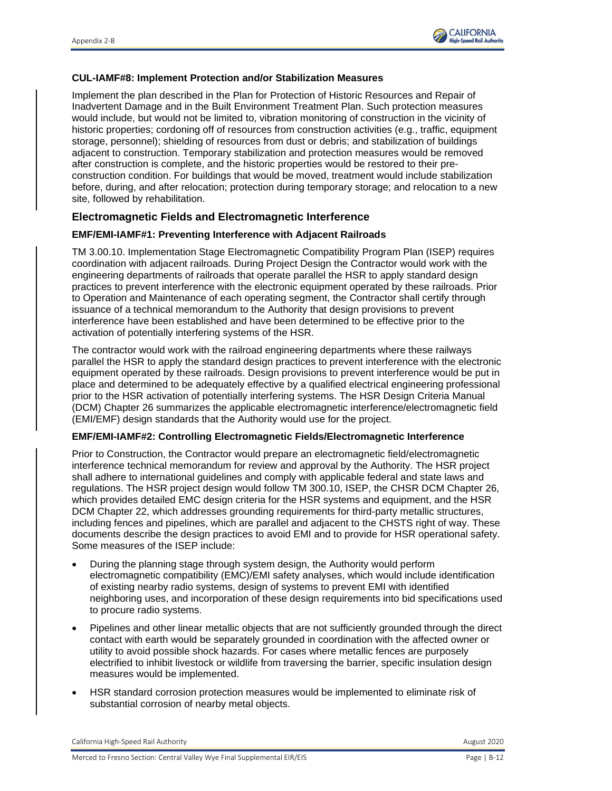

## **CUL-IAMF#8: Implement Protection and/or Stabilization Measures**

Implement the plan described in the Plan for Protection of Historic Resources and Repair of Inadvertent Damage and in the Built Environment Treatment Plan. Such protection measures would include, but would not be limited to, vibration monitoring of construction in the vicinity of historic properties; cordoning off of resources from construction activities (e.g., traffic, equipment storage, personnel); shielding of resources from dust or debris; and stabilization of buildings adjacent to construction. Temporary stabilization and protection measures would be removed after construction is complete, and the historic properties would be restored to their preconstruction condition. For buildings that would be moved, treatment would include stabilization before, during, and after relocation; protection during temporary storage; and relocation to a new site, followed by rehabilitation.

## **Electromagnetic Fields and Electromagnetic Interference**

## **EMF/EMI-IAMF#1: Preventing Interference with Adjacent Railroads**

TM 3.00.10. Implementation Stage Electromagnetic Compatibility Program Plan (ISEP) requires coordination with adjacent railroads. During Project Design the Contractor would work with the engineering departments of railroads that operate parallel the HSR to apply standard design practices to prevent interference with the electronic equipment operated by these railroads. Prior to Operation and Maintenance of each operating segment, the Contractor shall certify through issuance of a technical memorandum to the Authority that design provisions to prevent interference have been established and have been determined to be effective prior to the activation of potentially interfering systems of the HSR.

The contractor would work with the railroad engineering departments where these railways parallel the HSR to apply the standard design practices to prevent interference with the electronic equipment operated by these railroads. Design provisions to prevent interference would be put in place and determined to be adequately effective by a qualified electrical engineering professional prior to the HSR activation of potentially interfering systems. The HSR Design Criteria Manual (DCM) Chapter 26 summarizes the applicable electromagnetic interference/electromagnetic field (EMI/EMF) design standards that the Authority would use for the project.

#### **EMF/EMI-IAMF#2: Controlling Electromagnetic Fields/Electromagnetic Interference**

Prior to Construction, the Contractor would prepare an electromagnetic field/electromagnetic interference technical memorandum for review and approval by the Authority. The HSR project shall adhere to international guidelines and comply with applicable federal and state laws and regulations. The HSR project design would follow TM 300.10, ISEP, the CHSR DCM Chapter 26, which provides detailed EMC design criteria for the HSR systems and equipment, and the HSR DCM Chapter 22, which addresses grounding requirements for third-party metallic structures, including fences and pipelines, which are parallel and adjacent to the CHSTS right of way. These documents describe the design practices to avoid EMI and to provide for HSR operational safety. Some measures of the ISEP include:

- During the planning stage through system design, the Authority would perform electromagnetic compatibility (EMC)/EMI safety analyses, which would include identification of existing nearby radio systems, design of systems to prevent EMI with identified neighboring uses, and incorporation of these design requirements into bid specifications used to procure radio systems.
- Pipelines and other linear metallic objects that are not sufficiently grounded through the direct contact with earth would be separately grounded in coordination with the affected owner or utility to avoid possible shock hazards. For cases where metallic fences are purposely electrified to inhibit livestock or wildlife from traversing the barrier, specific insulation design measures would be implemented.
- HSR standard corrosion protection measures would be implemented to eliminate risk of substantial corrosion of nearby metal objects.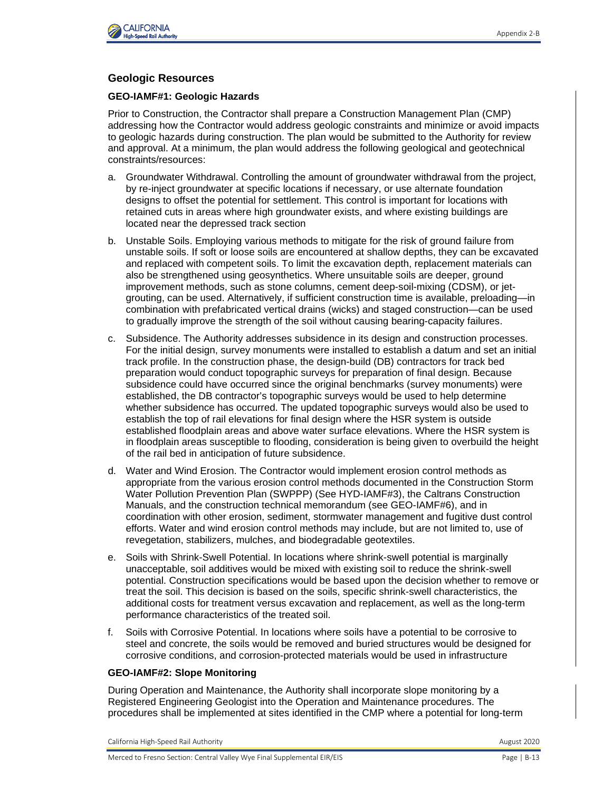

## **Geologic Resources**

## **GEO-IAMF#1: Geologic Hazards**

Prior to Construction, the Contractor shall prepare a Construction Management Plan (CMP) addressing how the Contractor would address geologic constraints and minimize or avoid impacts to geologic hazards during construction. The plan would be submitted to the Authority for review and approval. At a minimum, the plan would address the following geological and geotechnical constraints/resources:

- a. Groundwater Withdrawal. Controlling the amount of groundwater withdrawal from the project, by re-inject groundwater at specific locations if necessary, or use alternate foundation designs to offset the potential for settlement. This control is important for locations with retained cuts in areas where high groundwater exists, and where existing buildings are located near the depressed track section
- b. Unstable Soils. Employing various methods to mitigate for the risk of ground failure from unstable soils. If soft or loose soils are encountered at shallow depths, they can be excavated and replaced with competent soils. To limit the excavation depth, replacement materials can also be strengthened using geosynthetics. Where unsuitable soils are deeper, ground improvement methods, such as stone columns, cement deep-soil-mixing (CDSM), or jetgrouting, can be used. Alternatively, if sufficient construction time is available, preloading—in combination with prefabricated vertical drains (wicks) and staged construction—can be used to gradually improve the strength of the soil without causing bearing-capacity failures.
- c. Subsidence. The Authority addresses subsidence in its design and construction processes. For the initial design, survey monuments were installed to establish a datum and set an initial track profile. In the construction phase, the design-build (DB) contractors for track bed preparation would conduct topographic surveys for preparation of final design. Because subsidence could have occurred since the original benchmarks (survey monuments) were established, the DB contractor's topographic surveys would be used to help determine whether subsidence has occurred. The updated topographic surveys would also be used to establish the top of rail elevations for final design where the HSR system is outside established floodplain areas and above water surface elevations. Where the HSR system is in floodplain areas susceptible to flooding, consideration is being given to overbuild the height of the rail bed in anticipation of future subsidence.
- d. Water and Wind Erosion. The Contractor would implement erosion control methods as appropriate from the various erosion control methods documented in the Construction Storm Water Pollution Prevention Plan (SWPPP) (See HYD-IAMF#3), the Caltrans Construction Manuals, and the construction technical memorandum (see GEO-IAMF#6), and in coordination with other erosion, sediment, stormwater management and fugitive dust control efforts. Water and wind erosion control methods may include, but are not limited to, use of revegetation, stabilizers, mulches, and biodegradable geotextiles.
- e. Soils with Shrink-Swell Potential. In locations where shrink-swell potential is marginally unacceptable, soil additives would be mixed with existing soil to reduce the shrink-swell potential. Construction specifications would be based upon the decision whether to remove or treat the soil. This decision is based on the soils, specific shrink-swell characteristics, the additional costs for treatment versus excavation and replacement, as well as the long-term performance characteristics of the treated soil.
- f. Soils with Corrosive Potential. In locations where soils have a potential to be corrosive to steel and concrete, the soils would be removed and buried structures would be designed for corrosive conditions, and corrosion-protected materials would be used in infrastructure

#### **GEO-IAMF#2: Slope Monitoring**

During Operation and Maintenance, the Authority shall incorporate slope monitoring by a Registered Engineering Geologist into the Operation and Maintenance procedures. The procedures shall be implemented at sites identified in the CMP where a potential for long-term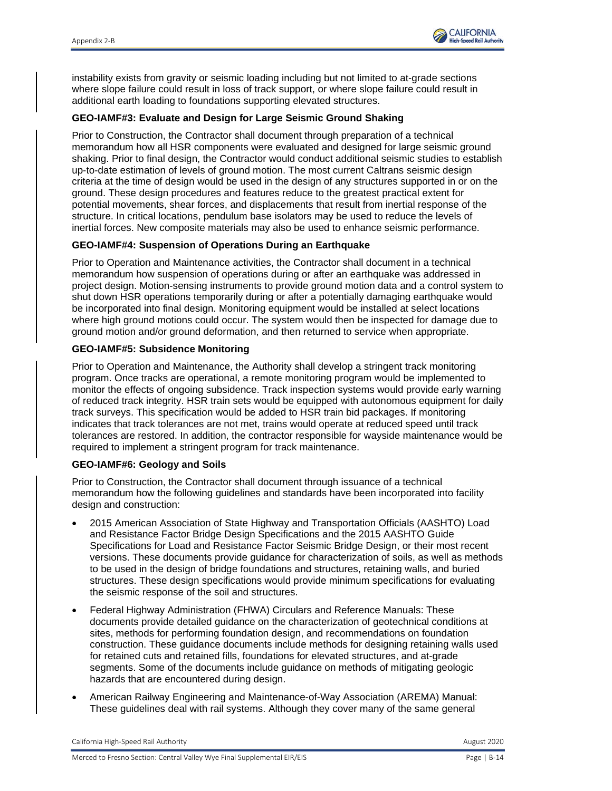

instability exists from gravity or seismic loading including but not limited to at-grade sections where slope failure could result in loss of track support, or where slope failure could result in additional earth loading to foundations supporting elevated structures.

## **GEO-IAMF#3: Evaluate and Design for Large Seismic Ground Shaking**

Prior to Construction, the Contractor shall document through preparation of a technical memorandum how all HSR components were evaluated and designed for large seismic ground shaking. Prior to final design, the Contractor would conduct additional seismic studies to establish up-to-date estimation of levels of ground motion. The most current Caltrans seismic design criteria at the time of design would be used in the design of any structures supported in or on the ground. These design procedures and features reduce to the greatest practical extent for potential movements, shear forces, and displacements that result from inertial response of the structure. In critical locations, pendulum base isolators may be used to reduce the levels of inertial forces. New composite materials may also be used to enhance seismic performance.

## **GEO-IAMF#4: Suspension of Operations During an Earthquake**

Prior to Operation and Maintenance activities, the Contractor shall document in a technical memorandum how suspension of operations during or after an earthquake was addressed in project design. Motion-sensing instruments to provide ground motion data and a control system to shut down HSR operations temporarily during or after a potentially damaging earthquake would be incorporated into final design. Monitoring equipment would be installed at select locations where high ground motions could occur. The system would then be inspected for damage due to ground motion and/or ground deformation, and then returned to service when appropriate.

## **GEO-IAMF#5: Subsidence Monitoring**

Prior to Operation and Maintenance, the Authority shall develop a stringent track monitoring program. Once tracks are operational, a remote monitoring program would be implemented to monitor the effects of ongoing subsidence. Track inspection systems would provide early warning of reduced track integrity. HSR train sets would be equipped with autonomous equipment for daily track surveys. This specification would be added to HSR train bid packages. If monitoring indicates that track tolerances are not met, trains would operate at reduced speed until track tolerances are restored. In addition, the contractor responsible for wayside maintenance would be required to implement a stringent program for track maintenance.

## **GEO-IAMF#6: Geology and Soils**

Prior to Construction, the Contractor shall document through issuance of a technical memorandum how the following guidelines and standards have been incorporated into facility design and construction:

- 2015 American Association of State Highway and Transportation Officials (AASHTO) Load and Resistance Factor Bridge Design Specifications and the 2015 AASHTO Guide Specifications for Load and Resistance Factor Seismic Bridge Design, or their most recent versions. These documents provide guidance for characterization of soils, as well as methods to be used in the design of bridge foundations and structures, retaining walls, and buried structures. These design specifications would provide minimum specifications for evaluating the seismic response of the soil and structures.
- Federal Highway Administration (FHWA) Circulars and Reference Manuals: These documents provide detailed guidance on the characterization of geotechnical conditions at sites, methods for performing foundation design, and recommendations on foundation construction. These guidance documents include methods for designing retaining walls used for retained cuts and retained fills, foundations for elevated structures, and at-grade segments. Some of the documents include guidance on methods of mitigating geologic hazards that are encountered during design.
- American Railway Engineering and Maintenance-of-Way Association (AREMA) Manual: These guidelines deal with rail systems. Although they cover many of the same general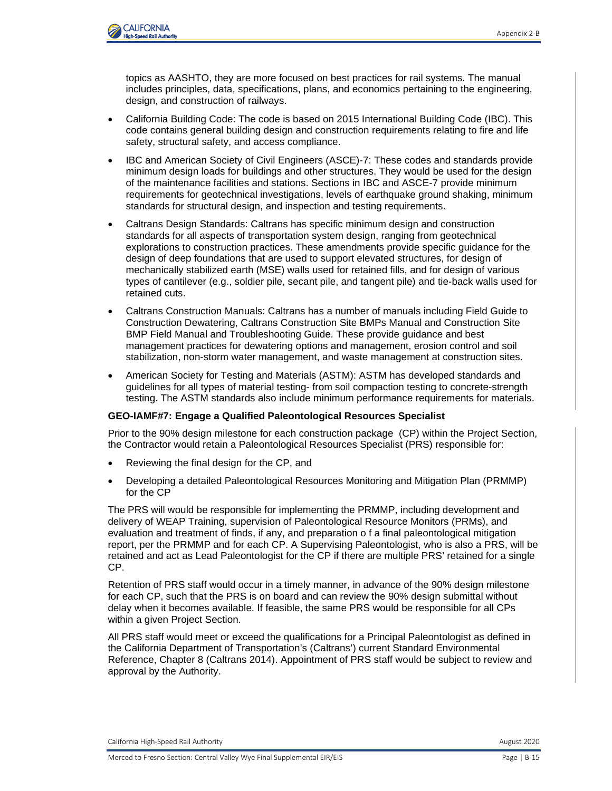

topics as AASHTO, they are more focused on best practices for rail systems. The manual includes principles, data, specifications, plans, and economics pertaining to the engineering, design, and construction of railways.

- California Building Code: The code is based on 2015 International Building Code (IBC). This code contains general building design and construction requirements relating to fire and life safety, structural safety, and access compliance.
- IBC and American Society of Civil Engineers (ASCE)-7: These codes and standards provide minimum design loads for buildings and other structures. They would be used for the design of the maintenance facilities and stations. Sections in IBC and ASCE-7 provide minimum requirements for geotechnical investigations, levels of earthquake ground shaking, minimum standards for structural design, and inspection and testing requirements.
- Caltrans Design Standards: Caltrans has specific minimum design and construction standards for all aspects of transportation system design, ranging from geotechnical explorations to construction practices. These amendments provide specific guidance for the design of deep foundations that are used to support elevated structures, for design of mechanically stabilized earth (MSE) walls used for retained fills, and for design of various types of cantilever (e.g., soldier pile, secant pile, and tangent pile) and tie-back walls used for retained cuts.
- Caltrans Construction Manuals: Caltrans has a number of manuals including Field Guide to Construction Dewatering, Caltrans Construction Site BMPs Manual and Construction Site BMP Field Manual and Troubleshooting Guide. These provide guidance and best management practices for dewatering options and management, erosion control and soil stabilization, non-storm water management, and waste management at construction sites.
- American Society for Testing and Materials (ASTM): ASTM has developed standards and guidelines for all types of material testing- from soil compaction testing to concrete-strength testing. The ASTM standards also include minimum performance requirements for materials.

## **GEO-IAMF#7: Engage a Qualified Paleontological Resources Specialist**

Prior to the 90% design milestone for each construction package (CP) within the Project Section, the Contractor would retain a Paleontological Resources Specialist (PRS) responsible for:

- Reviewing the final design for the CP, and
- Developing a detailed Paleontological Resources Monitoring and Mitigation Plan (PRMMP) for the CP

The PRS will would be responsible for implementing the PRMMP, including development and delivery of WEAP Training, supervision of Paleontological Resource Monitors (PRMs), and evaluation and treatment of finds, if any, and preparation o f a final paleontological mitigation report, per the PRMMP and for each CP. A Supervising Paleontologist, who is also a PRS, will be retained and act as Lead Paleontologist for the CP if there are multiple PRS' retained for a single CP.

Retention of PRS staff would occur in a timely manner, in advance of the 90% design milestone for each CP, such that the PRS is on board and can review the 90% design submittal without delay when it becomes available. If feasible, the same PRS would be responsible for all CPs within a given Project Section.

All PRS staff would meet or exceed the qualifications for a Principal Paleontologist as defined in the California Department of Transportation's (Caltrans') current Standard Environmental Reference, Chapter 8 (Caltrans 2014). Appointment of PRS staff would be subject to review and approval by the Authority.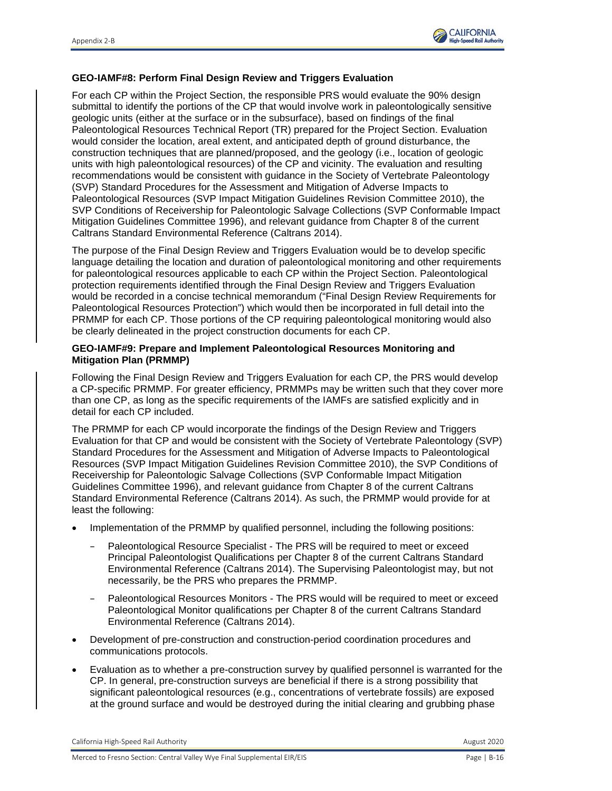

## **GEO-IAMF#8: Perform Final Design Review and Triggers Evaluation**

For each CP within the Project Section, the responsible PRS would evaluate the 90% design submittal to identify the portions of the CP that would involve work in paleontologically sensitive geologic units (either at the surface or in the subsurface), based on findings of the final Paleontological Resources Technical Report (TR) prepared for the Project Section. Evaluation would consider the location, areal extent, and anticipated depth of ground disturbance, the construction techniques that are planned/proposed, and the geology (i.e., location of geologic units with high paleontological resources) of the CP and vicinity. The evaluation and resulting recommendations would be consistent with guidance in the Society of Vertebrate Paleontology (SVP) Standard Procedures for the Assessment and Mitigation of Adverse Impacts to Paleontological Resources (SVP Impact Mitigation Guidelines Revision Committee 2010), the SVP Conditions of Receivership for Paleontologic Salvage Collections (SVP Conformable Impact Mitigation Guidelines Committee 1996), and relevant guidance from Chapter 8 of the current Caltrans Standard Environmental Reference (Caltrans 2014).

The purpose of the Final Design Review and Triggers Evaluation would be to develop specific language detailing the location and duration of paleontological monitoring and other requirements for paleontological resources applicable to each CP within the Project Section. Paleontological protection requirements identified through the Final Design Review and Triggers Evaluation would be recorded in a concise technical memorandum ("Final Design Review Requirements for Paleontological Resources Protection") which would then be incorporated in full detail into the PRMMP for each CP. Those portions of the CP requiring paleontological monitoring would also be clearly delineated in the project construction documents for each CP.

#### **GEO-IAMF#9: Prepare and Implement Paleontological Resources Monitoring and Mitigation Plan (PRMMP)**

Following the Final Design Review and Triggers Evaluation for each CP, the PRS would develop a CP-specific PRMMP. For greater efficiency, PRMMPs may be written such that they cover more than one CP, as long as the specific requirements of the IAMFs are satisfied explicitly and in detail for each CP included.

The PRMMP for each CP would incorporate the findings of the Design Review and Triggers Evaluation for that CP and would be consistent with the Society of Vertebrate Paleontology (SVP) Standard Procedures for the Assessment and Mitigation of Adverse Impacts to Paleontological Resources (SVP Impact Mitigation Guidelines Revision Committee 2010), the SVP Conditions of Receivership for Paleontologic Salvage Collections (SVP Conformable Impact Mitigation Guidelines Committee 1996), and relevant guidance from Chapter 8 of the current Caltrans Standard Environmental Reference (Caltrans 2014). As such, the PRMMP would provide for at least the following:

- Implementation of the PRMMP by qualified personnel, including the following positions:
	- Paleontological Resource Specialist The PRS will be required to meet or exceed Principal Paleontologist Qualifications per Chapter 8 of the current Caltrans Standard Environmental Reference (Caltrans 2014). The Supervising Paleontologist may, but not necessarily, be the PRS who prepares the PRMMP.
	- Paleontological Resources Monitors The PRS would will be required to meet or exceed Paleontological Monitor qualifications per Chapter 8 of the current Caltrans Standard Environmental Reference (Caltrans 2014).
- Development of pre-construction and construction-period coordination procedures and communications protocols.
- Evaluation as to whether a pre-construction survey by qualified personnel is warranted for the CP. In general, pre-construction surveys are beneficial if there is a strong possibility that significant paleontological resources (e.g., concentrations of vertebrate fossils) are exposed at the ground surface and would be destroyed during the initial clearing and grubbing phase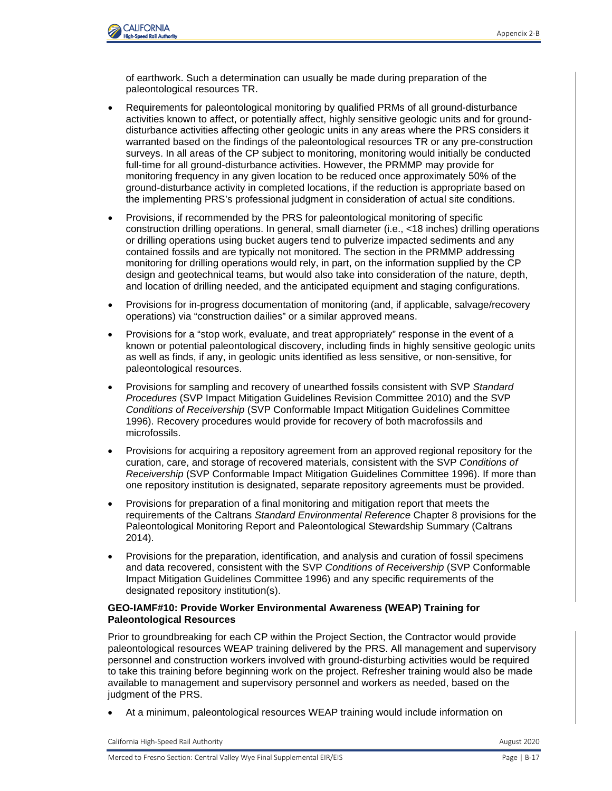

of earthwork. Such a determination can usually be made during preparation of the paleontological resources TR.

- Requirements for paleontological monitoring by qualified PRMs of all ground-disturbance activities known to affect, or potentially affect, highly sensitive geologic units and for grounddisturbance activities affecting other geologic units in any areas where the PRS considers it warranted based on the findings of the paleontological resources TR or any pre-construction surveys. In all areas of the CP subject to monitoring, monitoring would initially be conducted full-time for all ground-disturbance activities. However, the PRMMP may provide for monitoring frequency in any given location to be reduced once approximately 50% of the ground-disturbance activity in completed locations, if the reduction is appropriate based on the implementing PRS's professional judgment in consideration of actual site conditions.
- Provisions, if recommended by the PRS for paleontological monitoring of specific construction drilling operations. In general, small diameter (i.e., <18 inches) drilling operations or drilling operations using bucket augers tend to pulverize impacted sediments and any contained fossils and are typically not monitored. The section in the PRMMP addressing monitoring for drilling operations would rely, in part, on the information supplied by the CP design and geotechnical teams, but would also take into consideration of the nature, depth, and location of drilling needed, and the anticipated equipment and staging configurations.
- Provisions for in-progress documentation of monitoring (and, if applicable, salvage/recovery operations) via "construction dailies" or a similar approved means.
- Provisions for a "stop work, evaluate, and treat appropriately" response in the event of a known or potential paleontological discovery, including finds in highly sensitive geologic units as well as finds, if any, in geologic units identified as less sensitive, or non-sensitive, for paleontological resources.
- Provisions for sampling and recovery of unearthed fossils consistent with SVP *Standard Procedures* (SVP Impact Mitigation Guidelines Revision Committee 2010) and the SVP *Conditions of Receivership* (SVP Conformable Impact Mitigation Guidelines Committee 1996). Recovery procedures would provide for recovery of both macrofossils and microfossils.
- Provisions for acquiring a repository agreement from an approved regional repository for the curation, care, and storage of recovered materials, consistent with the SVP *Conditions of Receivership* (SVP Conformable Impact Mitigation Guidelines Committee 1996). If more than one repository institution is designated, separate repository agreements must be provided.
- Provisions for preparation of a final monitoring and mitigation report that meets the requirements of the Caltrans *Standard Environmental Reference* Chapter 8 provisions for the Paleontological Monitoring Report and Paleontological Stewardship Summary (Caltrans 2014).
- Provisions for the preparation, identification, and analysis and curation of fossil specimens and data recovered, consistent with the SVP *Conditions of Receivership* (SVP Conformable Impact Mitigation Guidelines Committee 1996) and any specific requirements of the designated repository institution(s).

## **GEO-IAMF#10: Provide Worker Environmental Awareness (WEAP) Training for Paleontological Resources**

Prior to groundbreaking for each CP within the Project Section, the Contractor would provide paleontological resources WEAP training delivered by the PRS. All management and supervisory personnel and construction workers involved with ground-disturbing activities would be required to take this training before beginning work on the project. Refresher training would also be made available to management and supervisory personnel and workers as needed, based on the judgment of the PRS.

• At a minimum, paleontological resources WEAP training would include information on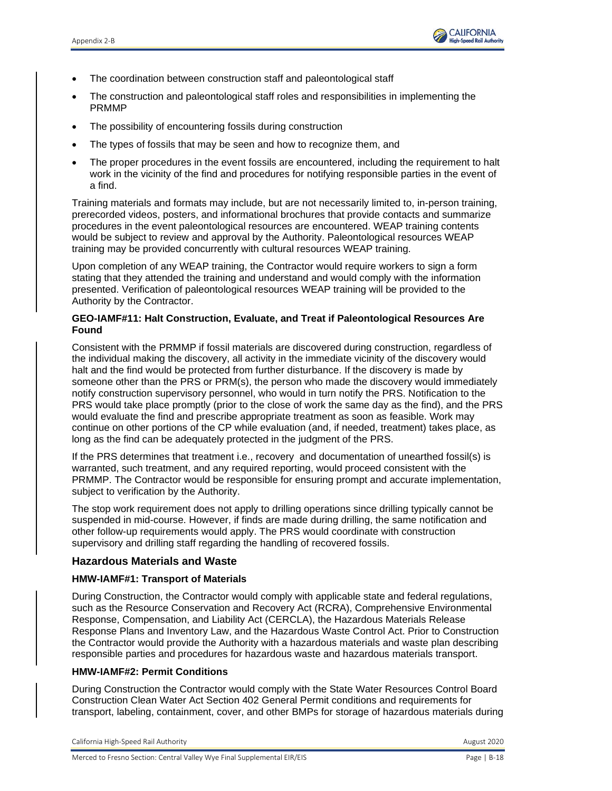

- The coordination between construction staff and paleontological staff
- The construction and paleontological staff roles and responsibilities in implementing the PRMMP
- The possibility of encountering fossils during construction
- The types of fossils that may be seen and how to recognize them, and
- The proper procedures in the event fossils are encountered, including the requirement to halt work in the vicinity of the find and procedures for notifying responsible parties in the event of a find.

Training materials and formats may include, but are not necessarily limited to, in-person training, prerecorded videos, posters, and informational brochures that provide contacts and summarize procedures in the event paleontological resources are encountered. WEAP training contents would be subject to review and approval by the Authority. Paleontological resources WEAP training may be provided concurrently with cultural resources WEAP training.

Upon completion of any WEAP training, the Contractor would require workers to sign a form stating that they attended the training and understand and would comply with the information presented. Verification of paleontological resources WEAP training will be provided to the Authority by the Contractor.

## **GEO-IAMF#11: Halt Construction, Evaluate, and Treat if Paleontological Resources Are Found**

Consistent with the PRMMP if fossil materials are discovered during construction, regardless of the individual making the discovery, all activity in the immediate vicinity of the discovery would halt and the find would be protected from further disturbance. If the discovery is made by someone other than the PRS or PRM(s), the person who made the discovery would immediately notify construction supervisory personnel, who would in turn notify the PRS. Notification to the PRS would take place promptly (prior to the close of work the same day as the find), and the PRS would evaluate the find and prescribe appropriate treatment as soon as feasible. Work may continue on other portions of the CP while evaluation (and, if needed, treatment) takes place, as long as the find can be adequately protected in the judgment of the PRS.

If the PRS determines that treatment i.e., recovery and documentation of unearthed fossil(s) is warranted, such treatment, and any required reporting, would proceed consistent with the PRMMP. The Contractor would be responsible for ensuring prompt and accurate implementation, subject to verification by the Authority.

The stop work requirement does not apply to drilling operations since drilling typically cannot be suspended in mid-course. However, if finds are made during drilling, the same notification and other follow-up requirements would apply. The PRS would coordinate with construction supervisory and drilling staff regarding the handling of recovered fossils.

## **Hazardous Materials and Waste**

## **HMW-IAMF#1: Transport of Materials**

During Construction, the Contractor would comply with applicable state and federal regulations, such as the Resource Conservation and Recovery Act (RCRA), Comprehensive Environmental Response, Compensation, and Liability Act (CERCLA), the Hazardous Materials Release Response Plans and Inventory Law, and the Hazardous Waste Control Act. Prior to Construction the Contractor would provide the Authority with a hazardous materials and waste plan describing responsible parties and procedures for hazardous waste and hazardous materials transport.

## **HMW-IAMF#2: Permit Conditions**

During Construction the Contractor would comply with the State Water Resources Control Board Construction Clean Water Act Section 402 General Permit conditions and requirements for transport, labeling, containment, cover, and other BMPs for storage of hazardous materials during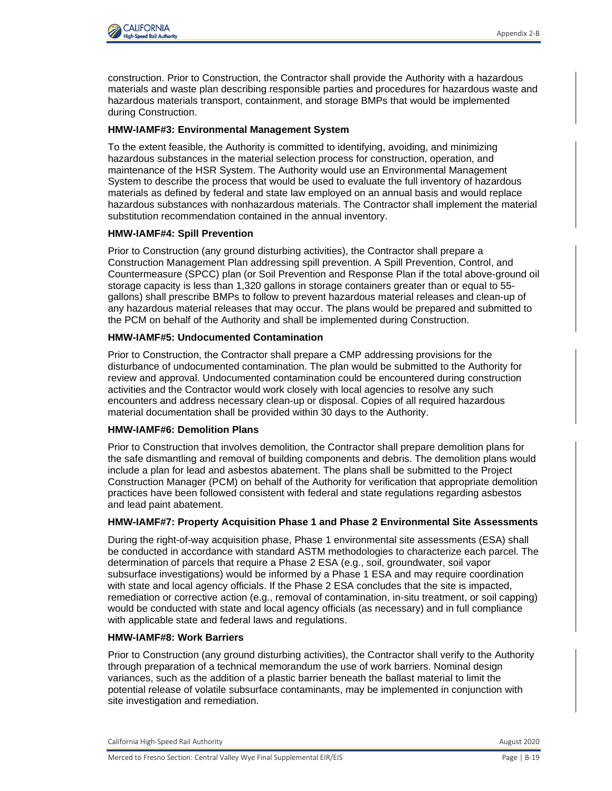

construction. Prior to Construction, the Contractor shall provide the Authority with a hazardous materials and waste plan describing responsible parties and procedures for hazardous waste and hazardous materials transport, containment, and storage BMPs that would be implemented during Construction.

## **HMW-IAMF#3: Environmental Management System**

To the extent feasible, the Authority is committed to identifying, avoiding, and minimizing hazardous substances in the material selection process for construction, operation, and maintenance of the HSR System. The Authority would use an Environmental Management System to describe the process that would be used to evaluate the full inventory of hazardous materials as defined by federal and state law employed on an annual basis and would replace hazardous substances with nonhazardous materials. The Contractor shall implement the material substitution recommendation contained in the annual inventory.

## **HMW-IAMF#4: Spill Prevention**

Prior to Construction (any ground disturbing activities), the Contractor shall prepare a Construction Management Plan addressing spill prevention. A Spill Prevention, Control, and Countermeasure (SPCC) plan (or Soil Prevention and Response Plan if the total above-ground oil storage capacity is less than 1,320 gallons in storage containers greater than or equal to 55 gallons) shall prescribe BMPs to follow to prevent hazardous material releases and clean-up of any hazardous material releases that may occur. The plans would be prepared and submitted to the PCM on behalf of the Authority and shall be implemented during Construction.

## **HMW-IAMF#5: Undocumented Contamination**

Prior to Construction, the Contractor shall prepare a CMP addressing provisions for the disturbance of undocumented contamination. The plan would be submitted to the Authority for review and approval. Undocumented contamination could be encountered during construction activities and the Contractor would work closely with local agencies to resolve any such encounters and address necessary clean-up or disposal. Copies of all required hazardous material documentation shall be provided within 30 days to the Authority.

## **HMW-IAMF#6: Demolition Plans**

Prior to Construction that involves demolition, the Contractor shall prepare demolition plans for the safe dismantling and removal of building components and debris. The demolition plans would include a plan for lead and asbestos abatement. The plans shall be submitted to the Project Construction Manager (PCM) on behalf of the Authority for verification that appropriate demolition practices have been followed consistent with federal and state regulations regarding asbestos and lead paint abatement.

## **HMW-IAMF#7: Property Acquisition Phase 1 and Phase 2 Environmental Site Assessments**

During the right-of-way acquisition phase, Phase 1 environmental site assessments (ESA) shall be conducted in accordance with standard ASTM methodologies to characterize each parcel. The determination of parcels that require a Phase 2 ESA (e.g., soil, groundwater, soil vapor subsurface investigations) would be informed by a Phase 1 ESA and may require coordination with state and local agency officials. If the Phase 2 ESA concludes that the site is impacted, remediation or corrective action (e.g., removal of contamination, in-situ treatment, or soil capping) would be conducted with state and local agency officials (as necessary) and in full compliance with applicable state and federal laws and regulations.

## **HMW-IAMF#8: Work Barriers**

Prior to Construction (any ground disturbing activities), the Contractor shall verify to the Authority through preparation of a technical memorandum the use of work barriers. Nominal design variances, such as the addition of a plastic barrier beneath the ballast material to limit the potential release of volatile subsurface contaminants, may be implemented in conjunction with site investigation and remediation.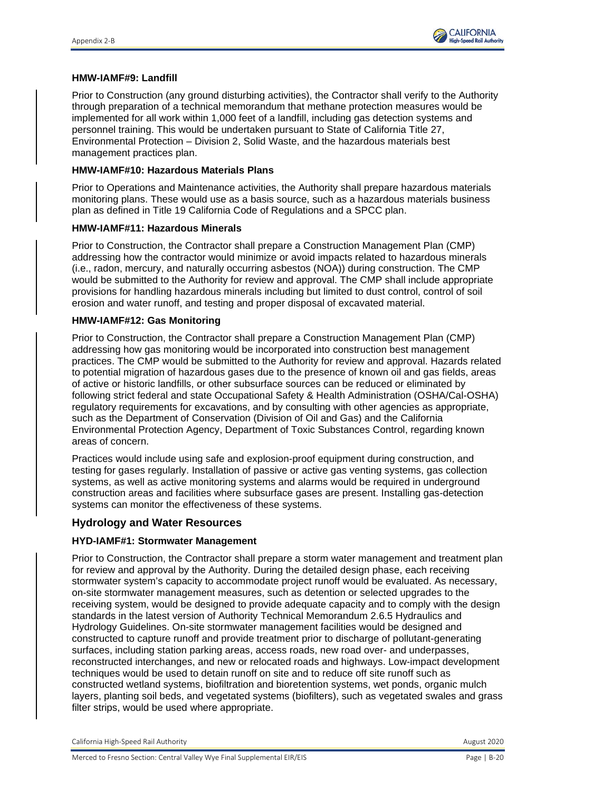

#### **HMW-IAMF#9: Landfill**

Prior to Construction (any ground disturbing activities), the Contractor shall verify to the Authority through preparation of a technical memorandum that methane protection measures would be implemented for all work within 1,000 feet of a landfill, including gas detection systems and personnel training. This would be undertaken pursuant to State of California Title 27, Environmental Protection – Division 2, Solid Waste, and the hazardous materials best management practices plan.

## **HMW-IAMF#10: Hazardous Materials Plans**

Prior to Operations and Maintenance activities, the Authority shall prepare hazardous materials monitoring plans. These would use as a basis source, such as a hazardous materials business plan as defined in Title 19 California Code of Regulations and a SPCC plan.

#### **HMW-IAMF#11: Hazardous Minerals**

Prior to Construction, the Contractor shall prepare a Construction Management Plan (CMP) addressing how the contractor would minimize or avoid impacts related to hazardous minerals (i.e., radon, mercury, and naturally occurring asbestos (NOA)) during construction. The CMP would be submitted to the Authority for review and approval. The CMP shall include appropriate provisions for handling hazardous minerals including but limited to dust control, control of soil erosion and water runoff, and testing and proper disposal of excavated material.

#### **HMW-IAMF#12: Gas Monitoring**

Prior to Construction, the Contractor shall prepare a Construction Management Plan (CMP) addressing how gas monitoring would be incorporated into construction best management practices. The CMP would be submitted to the Authority for review and approval. Hazards related to potential migration of hazardous gases due to the presence of known oil and gas fields, areas of active or historic landfills, or other subsurface sources can be reduced or eliminated by following strict federal and state Occupational Safety & Health Administration (OSHA/Cal-OSHA) regulatory requirements for excavations, and by consulting with other agencies as appropriate, such as the Department of Conservation (Division of Oil and Gas) and the California Environmental Protection Agency, Department of Toxic Substances Control, regarding known areas of concern.

Practices would include using safe and explosion-proof equipment during construction, and testing for gases regularly. Installation of passive or active gas venting systems, gas collection systems, as well as active monitoring systems and alarms would be required in underground construction areas and facilities where subsurface gases are present. Installing gas-detection systems can monitor the effectiveness of these systems.

## **Hydrology and Water Resources**

## **HYD-IAMF#1: Stormwater Management**

Prior to Construction, the Contractor shall prepare a storm water management and treatment plan for review and approval by the Authority. During the detailed design phase, each receiving stormwater system's capacity to accommodate project runoff would be evaluated. As necessary, on-site stormwater management measures, such as detention or selected upgrades to the receiving system, would be designed to provide adequate capacity and to comply with the design standards in the latest version of Authority Technical Memorandum 2.6.5 Hydraulics and Hydrology Guidelines. On-site stormwater management facilities would be designed and constructed to capture runoff and provide treatment prior to discharge of pollutant-generating surfaces, including station parking areas, access roads, new road over- and underpasses, reconstructed interchanges, and new or relocated roads and highways. Low-impact development techniques would be used to detain runoff on site and to reduce off site runoff such as constructed wetland systems, biofiltration and bioretention systems, wet ponds, organic mulch layers, planting soil beds, and vegetated systems (biofilters), such as vegetated swales and grass filter strips, would be used where appropriate.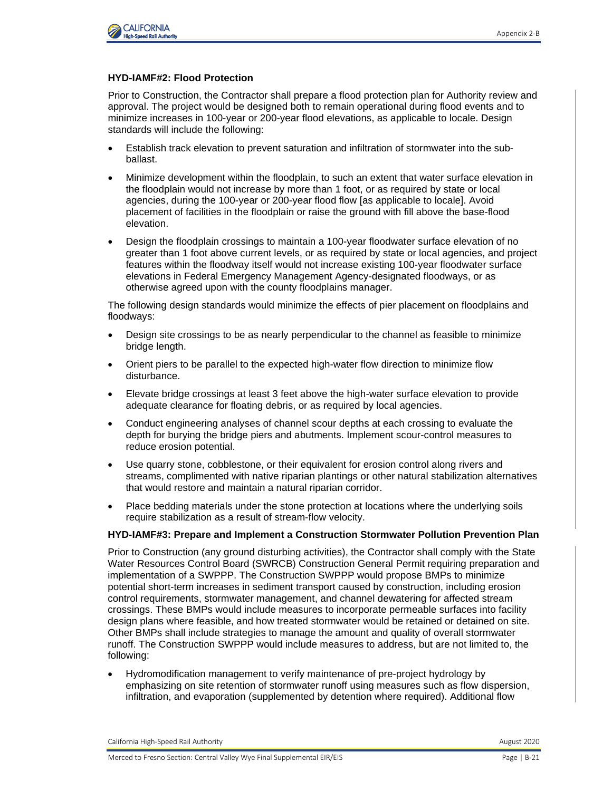

## **HYD-IAMF#2: Flood Protection**

Prior to Construction, the Contractor shall prepare a flood protection plan for Authority review and approval. The project would be designed both to remain operational during flood events and to minimize increases in 100-year or 200-year flood elevations, as applicable to locale. Design standards will include the following:

- Establish track elevation to prevent saturation and infiltration of stormwater into the subballast.
- Minimize development within the floodplain, to such an extent that water surface elevation in the floodplain would not increase by more than 1 foot, or as required by state or local agencies, during the 100-year or 200-year flood flow [as applicable to locale]. Avoid placement of facilities in the floodplain or raise the ground with fill above the base-flood elevation.
- Design the floodplain crossings to maintain a 100-year floodwater surface elevation of no greater than 1 foot above current levels, or as required by state or local agencies, and project features within the floodway itself would not increase existing 100-year floodwater surface elevations in Federal Emergency Management Agency-designated floodways, or as otherwise agreed upon with the county floodplains manager.

The following design standards would minimize the effects of pier placement on floodplains and floodways:

- Design site crossings to be as nearly perpendicular to the channel as feasible to minimize bridge length.
- Orient piers to be parallel to the expected high-water flow direction to minimize flow disturbance.
- Elevate bridge crossings at least 3 feet above the high-water surface elevation to provide adequate clearance for floating debris, or as required by local agencies.
- Conduct engineering analyses of channel scour depths at each crossing to evaluate the depth for burying the bridge piers and abutments. Implement scour-control measures to reduce erosion potential.
- Use quarry stone, cobblestone, or their equivalent for erosion control along rivers and streams, complimented with native riparian plantings or other natural stabilization alternatives that would restore and maintain a natural riparian corridor.
- Place bedding materials under the stone protection at locations where the underlying soils require stabilization as a result of stream-flow velocity.

## **HYD-IAMF#3: Prepare and Implement a Construction Stormwater Pollution Prevention Plan**

Prior to Construction (any ground disturbing activities), the Contractor shall comply with the State Water Resources Control Board (SWRCB) Construction General Permit requiring preparation and implementation of a SWPPP. The Construction SWPPP would propose BMPs to minimize potential short-term increases in sediment transport caused by construction, including erosion control requirements, stormwater management, and channel dewatering for affected stream crossings. These BMPs would include measures to incorporate permeable surfaces into facility design plans where feasible, and how treated stormwater would be retained or detained on site. Other BMPs shall include strategies to manage the amount and quality of overall stormwater runoff. The Construction SWPPP would include measures to address, but are not limited to, the following:

• Hydromodification management to verify maintenance of pre-project hydrology by emphasizing on site retention of stormwater runoff using measures such as flow dispersion, infiltration, and evaporation (supplemented by detention where required). Additional flow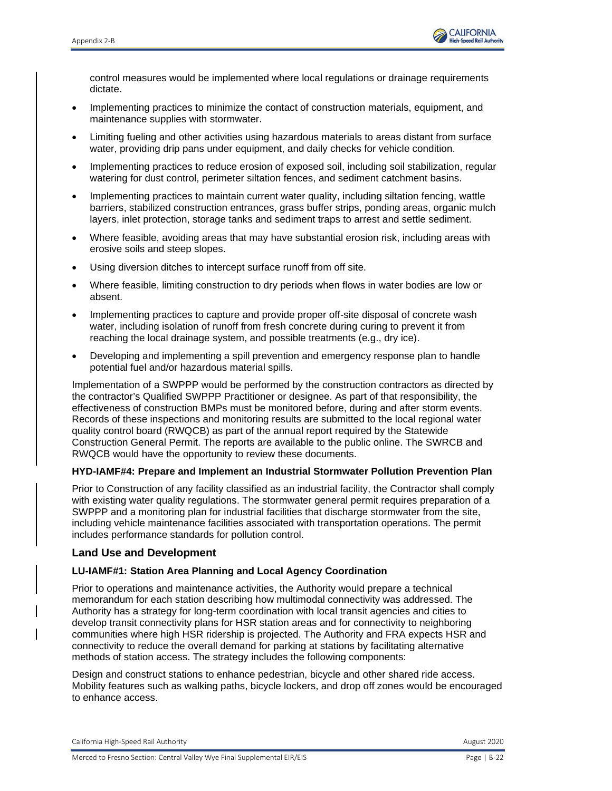

control measures would be implemented where local regulations or drainage requirements dictate.

- Implementing practices to minimize the contact of construction materials, equipment, and maintenance supplies with stormwater.
- Limiting fueling and other activities using hazardous materials to areas distant from surface water, providing drip pans under equipment, and daily checks for vehicle condition.
- Implementing practices to reduce erosion of exposed soil, including soil stabilization, regular watering for dust control, perimeter siltation fences, and sediment catchment basins.
- Implementing practices to maintain current water quality, including siltation fencing, wattle barriers, stabilized construction entrances, grass buffer strips, ponding areas, organic mulch layers, inlet protection, storage tanks and sediment traps to arrest and settle sediment.
- Where feasible, avoiding areas that may have substantial erosion risk, including areas with erosive soils and steep slopes.
- Using diversion ditches to intercept surface runoff from off site.
- Where feasible, limiting construction to dry periods when flows in water bodies are low or absent.
- Implementing practices to capture and provide proper off-site disposal of concrete wash water, including isolation of runoff from fresh concrete during curing to prevent it from reaching the local drainage system, and possible treatments (e.g., dry ice).
- Developing and implementing a spill prevention and emergency response plan to handle potential fuel and/or hazardous material spills.

Implementation of a SWPPP would be performed by the construction contractors as directed by the contractor's Qualified SWPPP Practitioner or designee. As part of that responsibility, the effectiveness of construction BMPs must be monitored before, during and after storm events. Records of these inspections and monitoring results are submitted to the local regional water quality control board (RWQCB) as part of the annual report required by the Statewide Construction General Permit. The reports are available to the public online. The SWRCB and RWQCB would have the opportunity to review these documents.

# **HYD-IAMF#4: Prepare and Implement an Industrial Stormwater Pollution Prevention Plan**

Prior to Construction of any facility classified as an industrial facility, the Contractor shall comply with existing water quality regulations. The stormwater general permit requires preparation of a SWPPP and a monitoring plan for industrial facilities that discharge stormwater from the site, including vehicle maintenance facilities associated with transportation operations. The permit includes performance standards for pollution control.

# **Land Use and Development**

# **LU-IAMF#1: Station Area Planning and Local Agency Coordination**

Prior to operations and maintenance activities, the Authority would prepare a technical memorandum for each station describing how multimodal connectivity was addressed. The Authority has a strategy for long-term coordination with local transit agencies and cities to develop transit connectivity plans for HSR station areas and for connectivity to neighboring communities where high HSR ridership is projected. The Authority and FRA expects HSR and connectivity to reduce the overall demand for parking at stations by facilitating alternative methods of station access. The strategy includes the following components:

Design and construct stations to enhance pedestrian, bicycle and other shared ride access. Mobility features such as walking paths, bicycle lockers, and drop off zones would be encouraged to enhance access.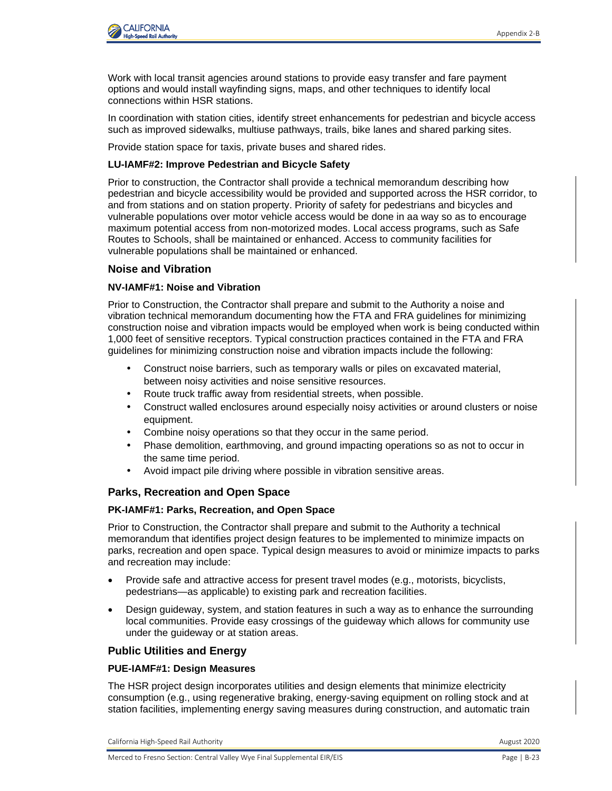

Work with local transit agencies around stations to provide easy transfer and fare payment options and would install wayfinding signs, maps, and other techniques to identify local connections within HSR stations.

In coordination with station cities, identify street enhancements for pedestrian and bicycle access such as improved sidewalks, multiuse pathways, trails, bike lanes and shared parking sites.

Provide station space for taxis, private buses and shared rides.

## **LU-IAMF#2: Improve Pedestrian and Bicycle Safety**

Prior to construction, the Contractor shall provide a technical memorandum describing how pedestrian and bicycle accessibility would be provided and supported across the HSR corridor, to and from stations and on station property. Priority of safety for pedestrians and bicycles and vulnerable populations over motor vehicle access would be done in aa way so as to encourage maximum potential access from non-motorized modes. Local access programs, such as Safe Routes to Schools, shall be maintained or enhanced. Access to community facilities for vulnerable populations shall be maintained or enhanced.

## **Noise and Vibration**

## **NV-IAMF#1: Noise and Vibration**

Prior to Construction, the Contractor shall prepare and submit to the Authority a noise and vibration technical memorandum documenting how the FTA and FRA guidelines for minimizing construction noise and vibration impacts would be employed when work is being conducted within 1,000 feet of sensitive receptors. Typical construction practices contained in the FTA and FRA guidelines for minimizing construction noise and vibration impacts include the following:

- Construct noise barriers, such as temporary walls or piles on excavated material, between noisy activities and noise sensitive resources.
- Route truck traffic away from residential streets, when possible.
- Construct walled enclosures around especially noisy activities or around clusters or noise equipment.
- Combine noisy operations so that they occur in the same period.
- Phase demolition, earthmoving, and ground impacting operations so as not to occur in the same time period.
- Avoid impact pile driving where possible in vibration sensitive areas.

## **Parks, Recreation and Open Space**

## **PK-IAMF#1: Parks, Recreation, and Open Space**

Prior to Construction, the Contractor shall prepare and submit to the Authority a technical memorandum that identifies project design features to be implemented to minimize impacts on parks, recreation and open space. Typical design measures to avoid or minimize impacts to parks and recreation may include:

- Provide safe and attractive access for present travel modes (e.g., motorists, bicyclists, pedestrians—as applicable) to existing park and recreation facilities.
- Design guideway, system, and station features in such a way as to enhance the surrounding local communities. Provide easy crossings of the guideway which allows for community use under the guideway or at station areas.

## **Public Utilities and Energy**

## **PUE-IAMF#1: Design Measures**

The HSR project design incorporates utilities and design elements that minimize electricity consumption (e.g., using regenerative braking, energy-saving equipment on rolling stock and at station facilities, implementing energy saving measures during construction, and automatic train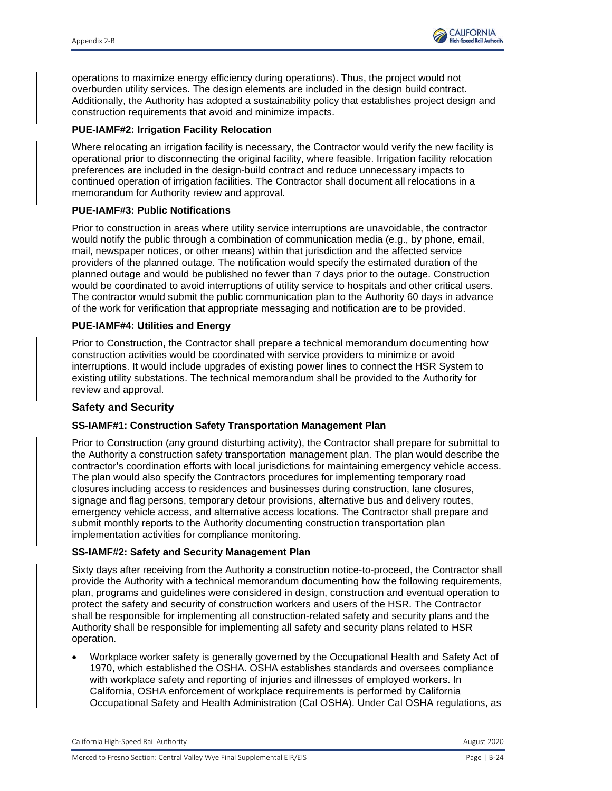

operations to maximize energy efficiency during operations). Thus, the project would not overburden utility services. The design elements are included in the design build contract. Additionally, the Authority has adopted a sustainability policy that establishes project design and construction requirements that avoid and minimize impacts.

## **PUE-IAMF#2: Irrigation Facility Relocation**

Where relocating an irrigation facility is necessary, the Contractor would verify the new facility is operational prior to disconnecting the original facility, where feasible. Irrigation facility relocation preferences are included in the design-build contract and reduce unnecessary impacts to continued operation of irrigation facilities. The Contractor shall document all relocations in a memorandum for Authority review and approval.

## **PUE-IAMF#3: Public Notifications**

Prior to construction in areas where utility service interruptions are unavoidable, the contractor would notify the public through a combination of communication media (e.g., by phone, email, mail, newspaper notices, or other means) within that jurisdiction and the affected service providers of the planned outage. The notification would specify the estimated duration of the planned outage and would be published no fewer than 7 days prior to the outage. Construction would be coordinated to avoid interruptions of utility service to hospitals and other critical users. The contractor would submit the public communication plan to the Authority 60 days in advance of the work for verification that appropriate messaging and notification are to be provided.

#### **PUE-IAMF#4: Utilities and Energy**

Prior to Construction, the Contractor shall prepare a technical memorandum documenting how construction activities would be coordinated with service providers to minimize or avoid interruptions. It would include upgrades of existing power lines to connect the HSR System to existing utility substations. The technical memorandum shall be provided to the Authority for review and approval.

## **Safety and Security**

## **SS-IAMF#1: Construction Safety Transportation Management Plan**

Prior to Construction (any ground disturbing activity), the Contractor shall prepare for submittal to the Authority a construction safety transportation management plan. The plan would describe the contractor's coordination efforts with local jurisdictions for maintaining emergency vehicle access. The plan would also specify the Contractors procedures for implementing temporary road closures including access to residences and businesses during construction, lane closures, signage and flag persons, temporary detour provisions, alternative bus and delivery routes, emergency vehicle access, and alternative access locations. The Contractor shall prepare and submit monthly reports to the Authority documenting construction transportation plan implementation activities for compliance monitoring.

## **SS-IAMF#2: Safety and Security Management Plan**

Sixty days after receiving from the Authority a construction notice-to-proceed, the Contractor shall provide the Authority with a technical memorandum documenting how the following requirements, plan, programs and guidelines were considered in design, construction and eventual operation to protect the safety and security of construction workers and users of the HSR. The Contractor shall be responsible for implementing all construction-related safety and security plans and the Authority shall be responsible for implementing all safety and security plans related to HSR operation.

• Workplace worker safety is generally governed by the Occupational Health and Safety Act of 1970, which established the OSHA. OSHA establishes standards and oversees compliance with workplace safety and reporting of injuries and illnesses of employed workers. In California, OSHA enforcement of workplace requirements is performed by California Occupational Safety and Health Administration (Cal OSHA). Under Cal OSHA regulations, as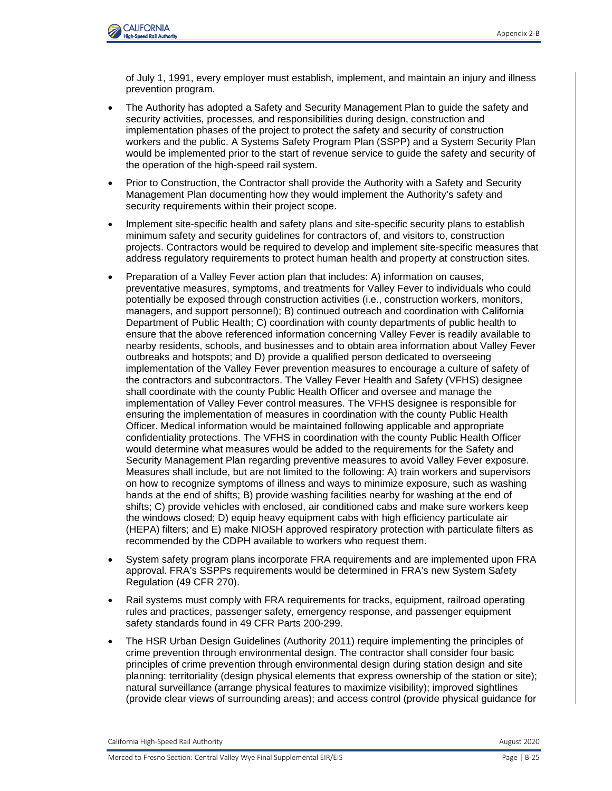

of July 1, 1991, every employer must establish, implement, and maintain an injury and illness prevention program.

- The Authority has adopted a Safety and Security Management Plan to guide the safety and security activities, processes, and responsibilities during design, construction and implementation phases of the project to protect the safety and security of construction workers and the public. A Systems Safety Program Plan (SSPP) and a System Security Plan would be implemented prior to the start of revenue service to guide the safety and security of the operation of the high-speed rail system.
- Prior to Construction, the Contractor shall provide the Authority with a Safety and Security Management Plan documenting how they would implement the Authority's safety and security requirements within their project scope.
- Implement site-specific health and safety plans and site-specific security plans to establish minimum safety and security guidelines for contractors of, and visitors to, construction projects. Contractors would be required to develop and implement site-specific measures that address regulatory requirements to protect human health and property at construction sites.
- Preparation of a Valley Fever action plan that includes: A) information on causes, preventative measures, symptoms, and treatments for Valley Fever to individuals who could potentially be exposed through construction activities (i.e., construction workers, monitors, managers, and support personnel); B) continued outreach and coordination with California Department of Public Health; C) coordination with county departments of public health to ensure that the above referenced information concerning Valley Fever is readily available to nearby residents, schools, and businesses and to obtain area information about Valley Fever outbreaks and hotspots; and D) provide a qualified person dedicated to overseeing implementation of the Valley Fever prevention measures to encourage a culture of safety of the contractors and subcontractors. The Valley Fever Health and Safety (VFHS) designee shall coordinate with the county Public Health Officer and oversee and manage the implementation of Valley Fever control measures. The VFHS designee is responsible for ensuring the implementation of measures in coordination with the county Public Health Officer. Medical information would be maintained following applicable and appropriate confidentiality protections. The VFHS in coordination with the county Public Health Officer would determine what measures would be added to the requirements for the Safety and Security Management Plan regarding preventive measures to avoid Valley Fever exposure. Measures shall include, but are not limited to the following: A) train workers and supervisors on how to recognize symptoms of illness and ways to minimize exposure, such as washing hands at the end of shifts; B) provide washing facilities nearby for washing at the end of shifts; C) provide vehicles with enclosed, air conditioned cabs and make sure workers keep the windows closed; D) equip heavy equipment cabs with high efficiency particulate air (HEPA) filters; and E) make NIOSH approved respiratory protection with particulate filters as recommended by the CDPH available to workers who request them.
- System safety program plans incorporate FRA requirements and are implemented upon FRA approval. FRA's SSPPs requirements would be determined in FRA's new System Safety Regulation (49 CFR 270).
- Rail systems must comply with FRA requirements for tracks, equipment, railroad operating rules and practices, passenger safety, emergency response, and passenger equipment safety standards found in 49 CFR Parts 200-299.
- The HSR Urban Design Guidelines (Authority 2011) require implementing the principles of crime prevention through environmental design. The contractor shall consider four basic principles of crime prevention through environmental design during station design and site planning: territoriality (design physical elements that express ownership of the station or site); natural surveillance (arrange physical features to maximize visibility); improved sightlines (provide clear views of surrounding areas); and access control (provide physical guidance for

California High-Speed Rail Authority **August 2020** California High-Speed Rail Authority

Merced to Fresno Section: Central Valley Wye Final Supplemental EIR/EIS Page | B-25 Page | B-25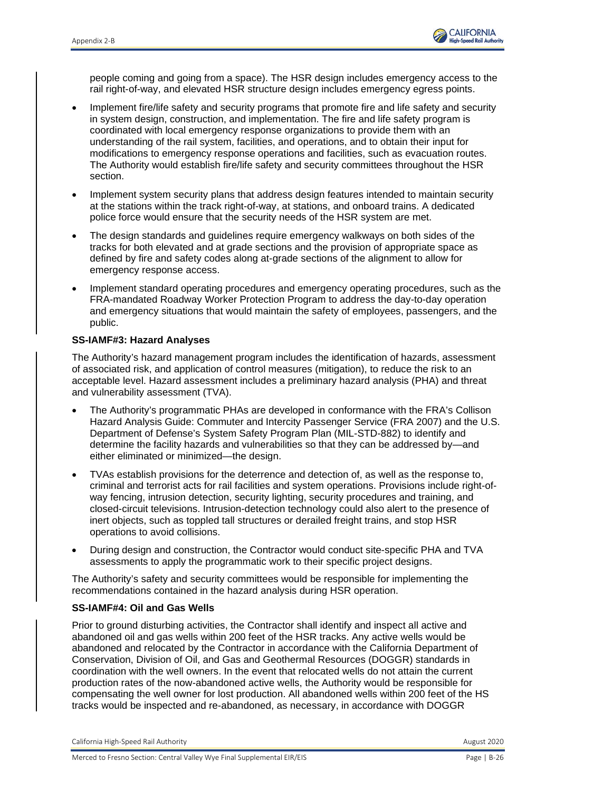

people coming and going from a space). The HSR design includes emergency access to the rail right-of-way, and elevated HSR structure design includes emergency egress points.

- Implement fire/life safety and security programs that promote fire and life safety and security in system design, construction, and implementation. The fire and life safety program is coordinated with local emergency response organizations to provide them with an understanding of the rail system, facilities, and operations, and to obtain their input for modifications to emergency response operations and facilities, such as evacuation routes. The Authority would establish fire/life safety and security committees throughout the HSR section.
- Implement system security plans that address design features intended to maintain security at the stations within the track right-of-way, at stations, and onboard trains. A dedicated police force would ensure that the security needs of the HSR system are met.
- The design standards and guidelines require emergency walkways on both sides of the tracks for both elevated and at grade sections and the provision of appropriate space as defined by fire and safety codes along at-grade sections of the alignment to allow for emergency response access.
- Implement standard operating procedures and emergency operating procedures, such as the FRA-mandated Roadway Worker Protection Program to address the day-to-day operation and emergency situations that would maintain the safety of employees, passengers, and the public.

## **SS-IAMF#3: Hazard Analyses**

The Authority's hazard management program includes the identification of hazards, assessment of associated risk, and application of control measures (mitigation), to reduce the risk to an acceptable level. Hazard assessment includes a preliminary hazard analysis (PHA) and threat and vulnerability assessment (TVA).

- The Authority's programmatic PHAs are developed in conformance with the FRA's Collison Hazard Analysis Guide: Commuter and Intercity Passenger Service (FRA 2007) and the U.S. Department of Defense's System Safety Program Plan (MIL-STD-882) to identify and determine the facility hazards and vulnerabilities so that they can be addressed by—and either eliminated or minimized—the design.
- TVAs establish provisions for the deterrence and detection of, as well as the response to, criminal and terrorist acts for rail facilities and system operations. Provisions include right-ofway fencing, intrusion detection, security lighting, security procedures and training, and closed-circuit televisions. Intrusion-detection technology could also alert to the presence of inert objects, such as toppled tall structures or derailed freight trains, and stop HSR operations to avoid collisions.
- During design and construction, the Contractor would conduct site-specific PHA and TVA assessments to apply the programmatic work to their specific project designs.

The Authority's safety and security committees would be responsible for implementing the recommendations contained in the hazard analysis during HSR operation.

## **SS-IAMF#4: Oil and Gas Wells**

Prior to ground disturbing activities, the Contractor shall identify and inspect all active and abandoned oil and gas wells within 200 feet of the HSR tracks. Any active wells would be abandoned and relocated by the Contractor in accordance with the California Department of Conservation, Division of Oil, and Gas and Geothermal Resources (DOGGR) standards in coordination with the well owners. In the event that relocated wells do not attain the current production rates of the now-abandoned active wells, the Authority would be responsible for compensating the well owner for lost production. All abandoned wells within 200 feet of the HS tracks would be inspected and re-abandoned, as necessary, in accordance with DOGGR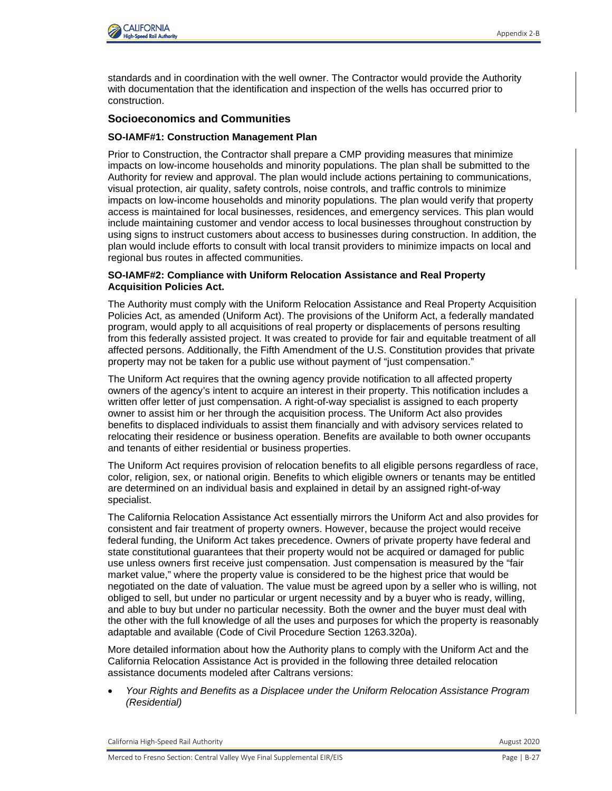

standards and in coordination with the well owner. The Contractor would provide the Authority with documentation that the identification and inspection of the wells has occurred prior to construction.

## **Socioeconomics and Communities**

## **SO-IAMF#1: Construction Management Plan**

Prior to Construction, the Contractor shall prepare a CMP providing measures that minimize impacts on low-income households and minority populations. The plan shall be submitted to the Authority for review and approval. The plan would include actions pertaining to communications, visual protection, air quality, safety controls, noise controls, and traffic controls to minimize impacts on low-income households and minority populations. The plan would verify that property access is maintained for local businesses, residences, and emergency services. This plan would include maintaining customer and vendor access to local businesses throughout construction by using signs to instruct customers about access to businesses during construction. In addition, the plan would include efforts to consult with local transit providers to minimize impacts on local and regional bus routes in affected communities.

#### **SO-IAMF#2: Compliance with Uniform Relocation Assistance and Real Property Acquisition Policies Act.**

The Authority must comply with the Uniform Relocation Assistance and Real Property Acquisition Policies Act, as amended (Uniform Act). The provisions of the Uniform Act, a federally mandated program, would apply to all acquisitions of real property or displacements of persons resulting from this federally assisted project. It was created to provide for fair and equitable treatment of all affected persons. Additionally, the Fifth Amendment of the U.S. Constitution provides that private property may not be taken for a public use without payment of "just compensation."

The Uniform Act requires that the owning agency provide notification to all affected property owners of the agency's intent to acquire an interest in their property. This notification includes a written offer letter of just compensation. A right-of-way specialist is assigned to each property owner to assist him or her through the acquisition process. The Uniform Act also provides benefits to displaced individuals to assist them financially and with advisory services related to relocating their residence or business operation. Benefits are available to both owner occupants and tenants of either residential or business properties.

The Uniform Act requires provision of relocation benefits to all eligible persons regardless of race, color, religion, sex, or national origin. Benefits to which eligible owners or tenants may be entitled are determined on an individual basis and explained in detail by an assigned right-of-way specialist.

The California Relocation Assistance Act essentially mirrors the Uniform Act and also provides for consistent and fair treatment of property owners. However, because the project would receive federal funding, the Uniform Act takes precedence. Owners of private property have federal and state constitutional guarantees that their property would not be acquired or damaged for public use unless owners first receive just compensation. Just compensation is measured by the "fair market value," where the property value is considered to be the highest price that would be negotiated on the date of valuation. The value must be agreed upon by a seller who is willing, not obliged to sell, but under no particular or urgent necessity and by a buyer who is ready, willing, and able to buy but under no particular necessity. Both the owner and the buyer must deal with the other with the full knowledge of all the uses and purposes for which the property is reasonably adaptable and available (Code of Civil Procedure Section 1263.320a).

More detailed information about how the Authority plans to comply with the Uniform Act and the California Relocation Assistance Act is provided in the following three detailed relocation assistance documents modeled after Caltrans versions:

• *Your Rights and Benefits as a Displacee under the Uniform Relocation Assistance Program (Residential)*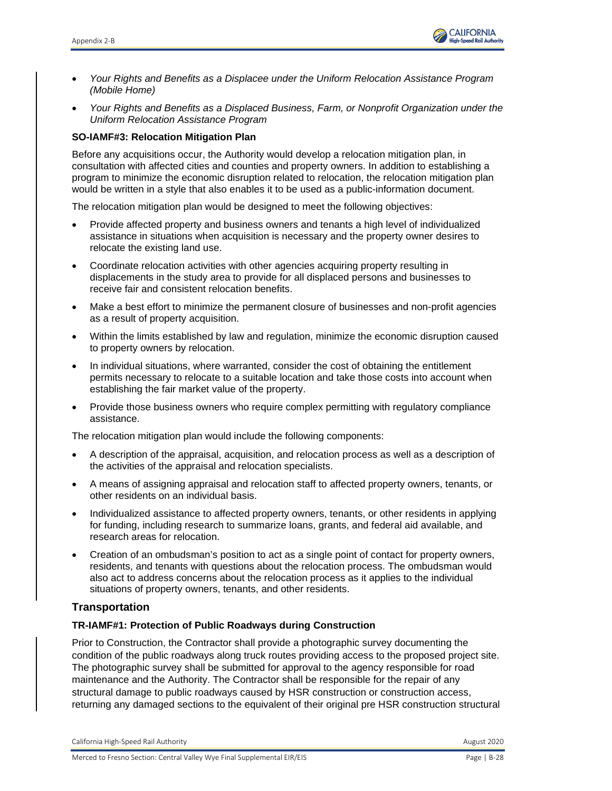

- *Your Rights and Benefits as a Displacee under the Uniform Relocation Assistance Program (Mobile Home)*
- *Your Rights and Benefits as a Displaced Business, Farm, or Nonprofit Organization under the Uniform Relocation Assistance Program*

## **SO-IAMF#3: Relocation Mitigation Plan**

Before any acquisitions occur, the Authority would develop a relocation mitigation plan, in consultation with affected cities and counties and property owners. In addition to establishing a program to minimize the economic disruption related to relocation, the relocation mitigation plan would be written in a style that also enables it to be used as a public-information document.

The relocation mitigation plan would be designed to meet the following objectives:

- Provide affected property and business owners and tenants a high level of individualized assistance in situations when acquisition is necessary and the property owner desires to relocate the existing land use.
- Coordinate relocation activities with other agencies acquiring property resulting in displacements in the study area to provide for all displaced persons and businesses to receive fair and consistent relocation benefits.
- Make a best effort to minimize the permanent closure of businesses and non-profit agencies as a result of property acquisition.
- Within the limits established by law and regulation, minimize the economic disruption caused to property owners by relocation.
- In individual situations, where warranted, consider the cost of obtaining the entitlement permits necessary to relocate to a suitable location and take those costs into account when establishing the fair market value of the property.
- Provide those business owners who require complex permitting with regulatory compliance assistance.

The relocation mitigation plan would include the following components:

- A description of the appraisal, acquisition, and relocation process as well as a description of the activities of the appraisal and relocation specialists.
- A means of assigning appraisal and relocation staff to affected property owners, tenants, or other residents on an individual basis.
- Individualized assistance to affected property owners, tenants, or other residents in applying for funding, including research to summarize loans, grants, and federal aid available, and research areas for relocation.
- Creation of an ombudsman's position to act as a single point of contact for property owners, residents, and tenants with questions about the relocation process. The ombudsman would also act to address concerns about the relocation process as it applies to the individual situations of property owners, tenants, and other residents.

## **Transportation**

## **TR-IAMF#1: Protection of Public Roadways during Construction**

Prior to Construction, the Contractor shall provide a photographic survey documenting the condition of the public roadways along truck routes providing access to the proposed project site. The photographic survey shall be submitted for approval to the agency responsible for road maintenance and the Authority. The Contractor shall be responsible for the repair of any structural damage to public roadways caused by HSR construction or construction access, returning any damaged sections to the equivalent of their original pre HSR construction structural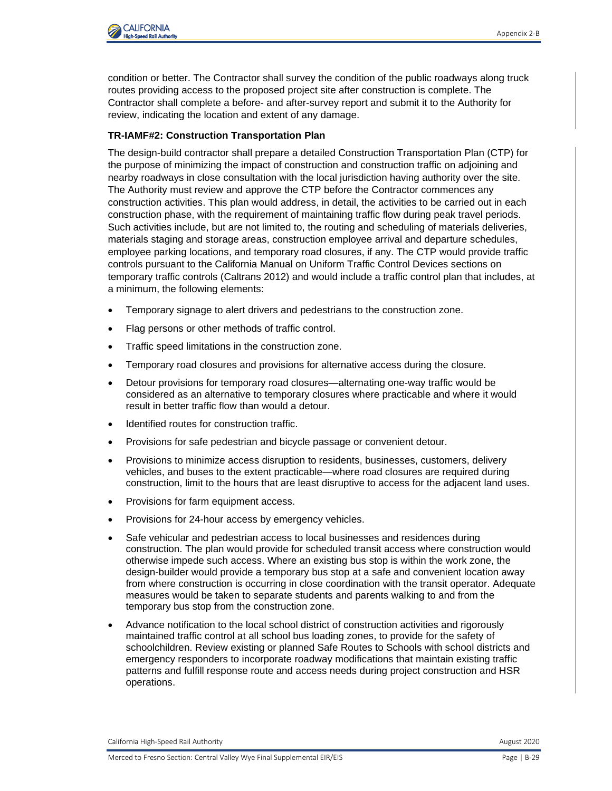

condition or better. The Contractor shall survey the condition of the public roadways along truck routes providing access to the proposed project site after construction is complete. The Contractor shall complete a before- and after-survey report and submit it to the Authority for review, indicating the location and extent of any damage.

## **TR-IAMF#2: Construction Transportation Plan**

The design-build contractor shall prepare a detailed Construction Transportation Plan (CTP) for the purpose of minimizing the impact of construction and construction traffic on adjoining and nearby roadways in close consultation with the local jurisdiction having authority over the site. The Authority must review and approve the CTP before the Contractor commences any construction activities. This plan would address, in detail, the activities to be carried out in each construction phase, with the requirement of maintaining traffic flow during peak travel periods. Such activities include, but are not limited to, the routing and scheduling of materials deliveries, materials staging and storage areas, construction employee arrival and departure schedules, employee parking locations, and temporary road closures, if any. The CTP would provide traffic controls pursuant to the California Manual on Uniform Traffic Control Devices sections on temporary traffic controls (Caltrans 2012) and would include a traffic control plan that includes, at a minimum, the following elements:

- Temporary signage to alert drivers and pedestrians to the construction zone.
- Flag persons or other methods of traffic control.
- Traffic speed limitations in the construction zone.
- Temporary road closures and provisions for alternative access during the closure.
- Detour provisions for temporary road closures—alternating one-way traffic would be considered as an alternative to temporary closures where practicable and where it would result in better traffic flow than would a detour.
- Identified routes for construction traffic.
- Provisions for safe pedestrian and bicycle passage or convenient detour.
- Provisions to minimize access disruption to residents, businesses, customers, delivery vehicles, and buses to the extent practicable—where road closures are required during construction, limit to the hours that are least disruptive to access for the adjacent land uses.
- Provisions for farm equipment access.
- Provisions for 24-hour access by emergency vehicles.
- Safe vehicular and pedestrian access to local businesses and residences during construction. The plan would provide for scheduled transit access where construction would otherwise impede such access. Where an existing bus stop is within the work zone, the design-builder would provide a temporary bus stop at a safe and convenient location away from where construction is occurring in close coordination with the transit operator. Adequate measures would be taken to separate students and parents walking to and from the temporary bus stop from the construction zone.
- Advance notification to the local school district of construction activities and rigorously maintained traffic control at all school bus loading zones, to provide for the safety of schoolchildren. Review existing or planned Safe Routes to Schools with school districts and emergency responders to incorporate roadway modifications that maintain existing traffic patterns and fulfill response route and access needs during project construction and HSR operations.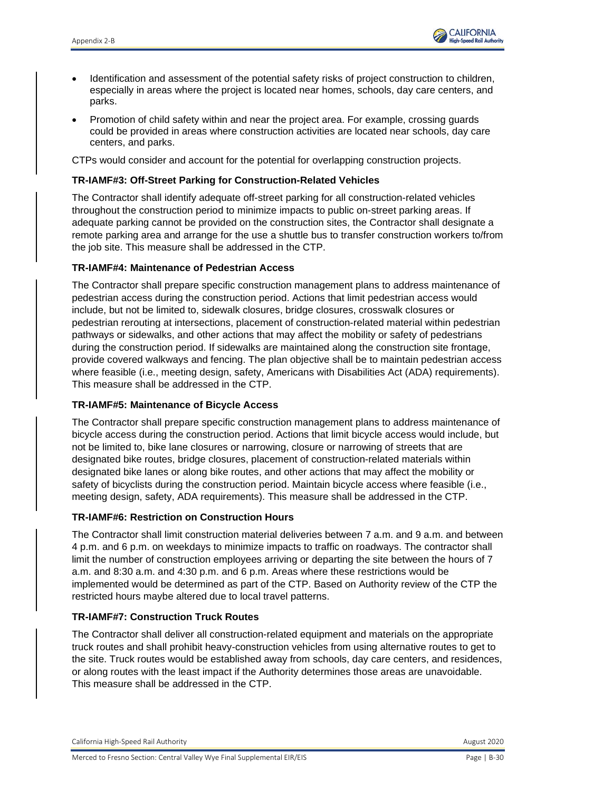

- Identification and assessment of the potential safety risks of project construction to children, especially in areas where the project is located near homes, schools, day care centers, and parks.
- Promotion of child safety within and near the project area. For example, crossing guards could be provided in areas where construction activities are located near schools, day care centers, and parks.

CTPs would consider and account for the potential for overlapping construction projects.

## **TR-IAMF#3: Off-Street Parking for Construction-Related Vehicles**

The Contractor shall identify adequate off-street parking for all construction-related vehicles throughout the construction period to minimize impacts to public on-street parking areas. If adequate parking cannot be provided on the construction sites, the Contractor shall designate a remote parking area and arrange for the use a shuttle bus to transfer construction workers to/from the job site. This measure shall be addressed in the CTP.

## **TR-IAMF#4: Maintenance of Pedestrian Access**

The Contractor shall prepare specific construction management plans to address maintenance of pedestrian access during the construction period. Actions that limit pedestrian access would include, but not be limited to, sidewalk closures, bridge closures, crosswalk closures or pedestrian rerouting at intersections, placement of construction-related material within pedestrian pathways or sidewalks, and other actions that may affect the mobility or safety of pedestrians during the construction period. If sidewalks are maintained along the construction site frontage, provide covered walkways and fencing. The plan objective shall be to maintain pedestrian access where feasible (i.e., meeting design, safety, Americans with Disabilities Act (ADA) requirements). This measure shall be addressed in the CTP.

## **TR-IAMF#5: Maintenance of Bicycle Access**

The Contractor shall prepare specific construction management plans to address maintenance of bicycle access during the construction period. Actions that limit bicycle access would include, but not be limited to, bike lane closures or narrowing, closure or narrowing of streets that are designated bike routes, bridge closures, placement of construction-related materials within designated bike lanes or along bike routes, and other actions that may affect the mobility or safety of bicyclists during the construction period. Maintain bicycle access where feasible (i.e., meeting design, safety, ADA requirements). This measure shall be addressed in the CTP.

## **TR-IAMF#6: Restriction on Construction Hours**

The Contractor shall limit construction material deliveries between 7 a.m. and 9 a.m. and between 4 p.m. and 6 p.m. on weekdays to minimize impacts to traffic on roadways. The contractor shall limit the number of construction employees arriving or departing the site between the hours of 7 a.m. and 8:30 a.m. and 4:30 p.m. and 6 p.m. Areas where these restrictions would be implemented would be determined as part of the CTP. Based on Authority review of the CTP the restricted hours maybe altered due to local travel patterns.

## **TR-IAMF#7: Construction Truck Routes**

The Contractor shall deliver all construction-related equipment and materials on the appropriate truck routes and shall prohibit heavy-construction vehicles from using alternative routes to get to the site. Truck routes would be established away from schools, day care centers, and residences, or along routes with the least impact if the Authority determines those areas are unavoidable. This measure shall be addressed in the CTP.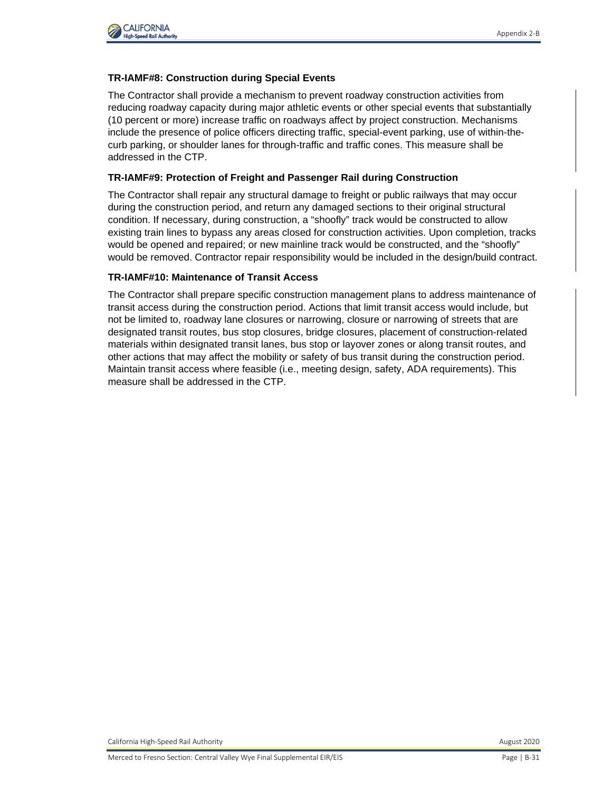

## **TR-IAMF#8: Construction during Special Events**

The Contractor shall provide a mechanism to prevent roadway construction activities from reducing roadway capacity during major athletic events or other special events that substantially (10 percent or more) increase traffic on roadways affect by project construction. Mechanisms include the presence of police officers directing traffic, special-event parking, use of within-thecurb parking, or shoulder lanes for through-traffic and traffic cones. This measure shall be addressed in the CTP.

## **TR-IAMF#9: Protection of Freight and Passenger Rail during Construction**

The Contractor shall repair any structural damage to freight or public railways that may occur during the construction period, and return any damaged sections to their original structural condition. If necessary, during construction, a "shoofly" track would be constructed to allow existing train lines to bypass any areas closed for construction activities. Upon completion, tracks would be opened and repaired; or new mainline track would be constructed, and the "shoofly" would be removed. Contractor repair responsibility would be included in the design/build contract.

## **TR-IAMF#10: Maintenance of Transit Access**

The Contractor shall prepare specific construction management plans to address maintenance of transit access during the construction period. Actions that limit transit access would include, but not be limited to, roadway lane closures or narrowing, closure or narrowing of streets that are designated transit routes, bus stop closures, bridge closures, placement of construction-related materials within designated transit lanes, bus stop or layover zones or along transit routes, and other actions that may affect the mobility or safety of bus transit during the construction period. Maintain transit access where feasible (i.e., meeting design, safety, ADA requirements). This measure shall be addressed in the CTP.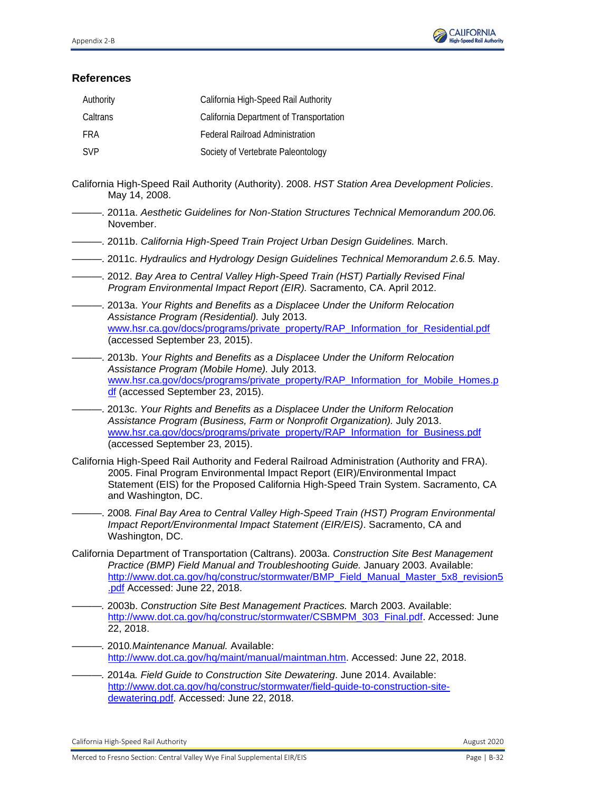

## **References**

| Authority  | California High-Speed Rail Authority    |
|------------|-----------------------------------------|
| Caltrans   | California Department of Transportation |
| FRA        | <b>Federal Railroad Administration</b>  |
| <b>SVP</b> | Society of Vertebrate Paleontology      |

- California High-Speed Rail Authority (Authority). 2008. *HST Station Area Development Policies*. May 14, 2008.
- ———. 2011a. *Aesthetic Guidelines for Non-Station Structures Technical Memorandum 200.06.*  November.
- ———. 2011b. *California High-Speed Train Project Urban Design Guidelines.* March.
- ———. 2011c. *Hydraulics and Hydrology Design Guidelines Technical Memorandum 2.6.5.* May.
- ———. 2012. *Bay Area to Central Valley High-Speed Train (HST) Partially Revised Final Program Environmental Impact Report (EIR).* Sacramento, CA. April 2012.
- ———. 2013a. *Your Rights and Benefits as a Displacee Under the Uniform Relocation Assistance Program (Residential).* July 2013. [www.hsr.ca.gov/docs/programs/private\\_property/RAP\\_Information\\_for\\_Residential.pdf](http://www.hsr.ca.gov/docs/programs/private_property/RAP_Information_for_Residential.pdf) (accessed September 23, 2015).
- ———. 2013b. *Your Rights and Benefits as a Displacee Under the Uniform Relocation Assistance Program (Mobile Home).* July 2013. [www.hsr.ca.gov/docs/programs/private\\_property/RAP\\_Information\\_for\\_Mobile\\_Homes.p](file://icf-hq.icfconsulting.com/share/Business%20Ops/EE&T/E&P/P-Drive/California%20High-Speed%20Rail%20Authority/M_to_F/03_Reports/EIR-EIS/Draft/2_Alts/Apps/www.hsr.ca.gov/docs/programs/private_property/RAP_Information_for_Mobile_Homes.pdf) [df](file://icf-hq.icfconsulting.com/share/Business%20Ops/EE&T/E&P/P-Drive/California%20High-Speed%20Rail%20Authority/M_to_F/03_Reports/EIR-EIS/Draft/2_Alts/Apps/www.hsr.ca.gov/docs/programs/private_property/RAP_Information_for_Mobile_Homes.pdf) (accessed September 23, 2015).
- ———. 2013c. *Your Rights and Benefits as a Displacee Under the Uniform Relocation Assistance Program (Business, Farm or Nonprofit Organization).* July 2013. www.hsr.ca.gov/docs/programs/private\_property/RAP\_Information\_for\_Business.pdf (accessed September 23, 2015).
- California High-Speed Rail Authority and Federal Railroad Administration (Authority and FRA). 2005. Final Program Environmental Impact Report (EIR)/Environmental Impact Statement (EIS) for the Proposed California High-Speed Train System. Sacramento, CA and Washington, DC.
- ———. 2008*. Final Bay Area to Central Valley High-Speed Train (HST) Program Environmental Impact Report/Environmental Impact Statement (EIR/EIS)*. Sacramento, CA and Washington, DC.
- California Department of Transportation (Caltrans). 2003a. *Construction Site Best Management Practice (BMP) Field Manual and Troubleshooting Guide.* January 2003. Available: [http://www.dot.ca.gov/hq/construc/stormwater/BMP\\_Field\\_Manual\\_Master\\_5x8\\_revision5](http://www.dot.ca.gov/hq/construc/stormwater/BMP_Field_Manual_Master_5x8_revision5.pdf) [.pdf](http://www.dot.ca.gov/hq/construc/stormwater/BMP_Field_Manual_Master_5x8_revision5.pdf) Accessed: June 22, 2018.
- *———.* 2003b. *Construction Site Best Management Practices.* March 2003. Available: [http://www.dot.ca.gov/hq/construc/stormwater/CSBMPM\\_303\\_Final.pdf.](http://www.dot.ca.gov/hq/construc/stormwater/CSBMPM_303_Final.pdf) Accessed: June 22, 2018.
- *———.* 2010*.Maintenance Manual.* Available: [http://www.dot.ca.gov/hq/maint/manual/maintman.htm.](http://www.dot.ca.gov/hq/maint/manual/maintman.htm) Accessed: June 22, 2018.
- *———.* 2014a*. Field Guide to Construction Site Dewatering*. June 2014. Available: [http://www.dot.ca.gov/hq/construc/stormwater/field-guide-to-construction-site](http://www.dot.ca.gov/hq/construc/stormwater/field-guide-to-construction-site-dewatering.pdf)[dewatering.pdf.](http://www.dot.ca.gov/hq/construc/stormwater/field-guide-to-construction-site-dewatering.pdf) Accessed: June 22, 2018.